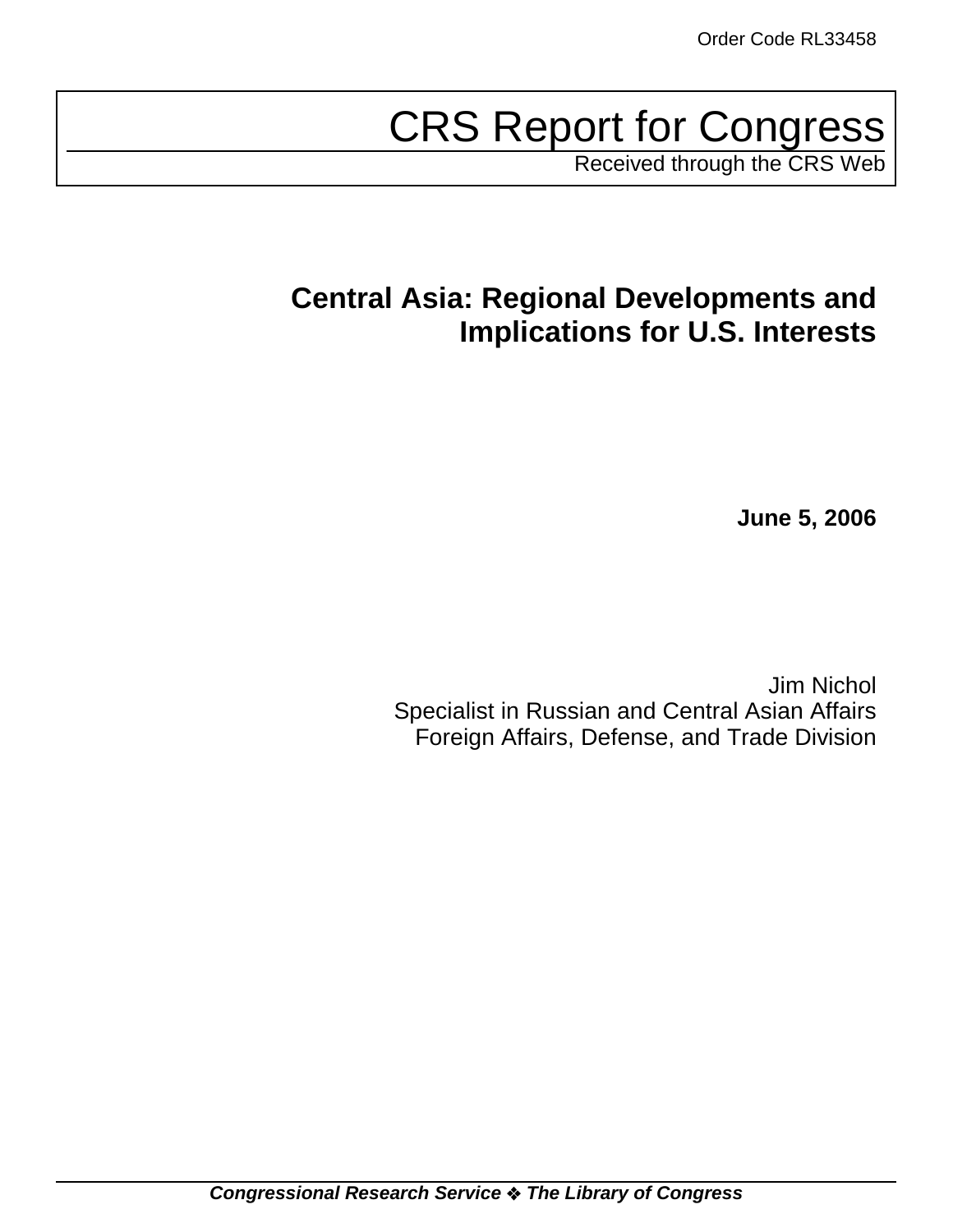# CRS Report for Congress

Received through the CRS Web

## **Central Asia: Regional Developments and Implications for U.S. Interests**

**June 5, 2006**

Jim Nichol Specialist in Russian and Central Asian Affairs Foreign Affairs, Defense, and Trade Division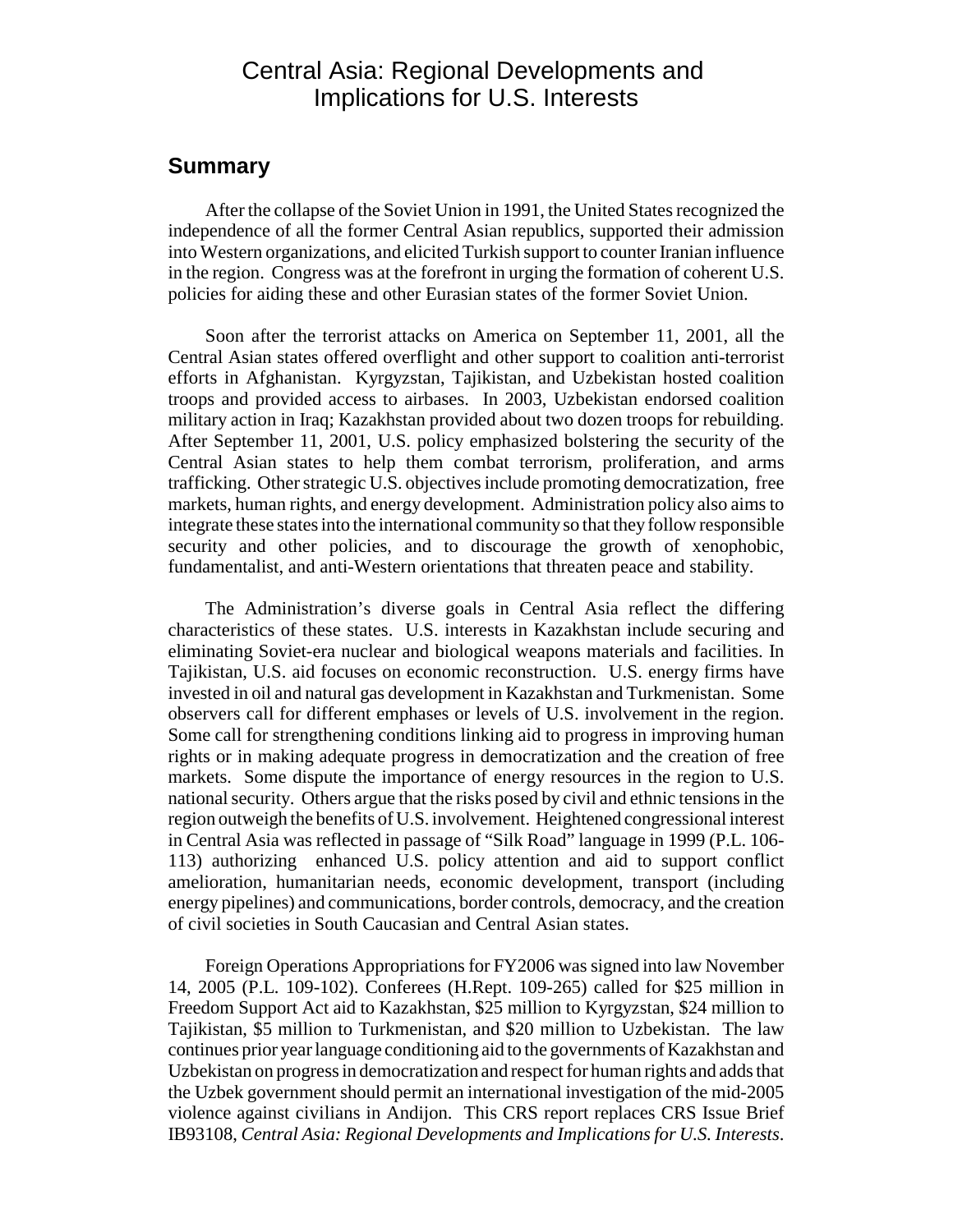## Central Asia: Regional Developments and Implications for U.S. Interests

### **Summary**

After the collapse of the Soviet Union in 1991, the United States recognized the independence of all the former Central Asian republics, supported their admission into Western organizations, and elicited Turkish support to counter Iranian influence in the region. Congress was at the forefront in urging the formation of coherent U.S. policies for aiding these and other Eurasian states of the former Soviet Union.

Soon after the terrorist attacks on America on September 11, 2001, all the Central Asian states offered overflight and other support to coalition anti-terrorist efforts in Afghanistan. Kyrgyzstan, Tajikistan, and Uzbekistan hosted coalition troops and provided access to airbases. In 2003, Uzbekistan endorsed coalition military action in Iraq; Kazakhstan provided about two dozen troops for rebuilding. After September 11, 2001, U.S. policy emphasized bolstering the security of the Central Asian states to help them combat terrorism, proliferation, and arms trafficking. Other strategic U.S. objectives include promoting democratization, free markets, human rights, and energy development. Administration policy also aims to integrate these states into the international community so that they follow responsible security and other policies, and to discourage the growth of xenophobic, fundamentalist, and anti-Western orientations that threaten peace and stability.

The Administration's diverse goals in Central Asia reflect the differing characteristics of these states. U.S. interests in Kazakhstan include securing and eliminating Soviet-era nuclear and biological weapons materials and facilities. In Tajikistan, U.S. aid focuses on economic reconstruction. U.S. energy firms have invested in oil and natural gas development in Kazakhstan and Turkmenistan. Some observers call for different emphases or levels of U.S. involvement in the region. Some call for strengthening conditions linking aid to progress in improving human rights or in making adequate progress in democratization and the creation of free markets. Some dispute the importance of energy resources in the region to U.S. national security. Others argue that the risks posed by civil and ethnic tensions in the region outweigh the benefits of U.S. involvement. Heightened congressional interest in Central Asia was reflected in passage of "Silk Road" language in 1999 (P.L. 106- 113) authorizing enhanced U.S. policy attention and aid to support conflict amelioration, humanitarian needs, economic development, transport (including energy pipelines) and communications, border controls, democracy, and the creation of civil societies in South Caucasian and Central Asian states.

Foreign Operations Appropriations for FY2006 was signed into law November 14, 2005 (P.L. 109-102). Conferees (H.Rept. 109-265) called for \$25 million in Freedom Support Act aid to Kazakhstan, \$25 million to Kyrgyzstan, \$24 million to Tajikistan, \$5 million to Turkmenistan, and \$20 million to Uzbekistan. The law continues prior year language conditioning aid to the governments of Kazakhstan and Uzbekistan on progress in democratization and respect for human rights and adds that the Uzbek government should permit an international investigation of the mid-2005 violence against civilians in Andijon. This CRS report replaces CRS Issue Brief IB93108, *Central Asia: Regional Developments and Implications for U.S. Interests*.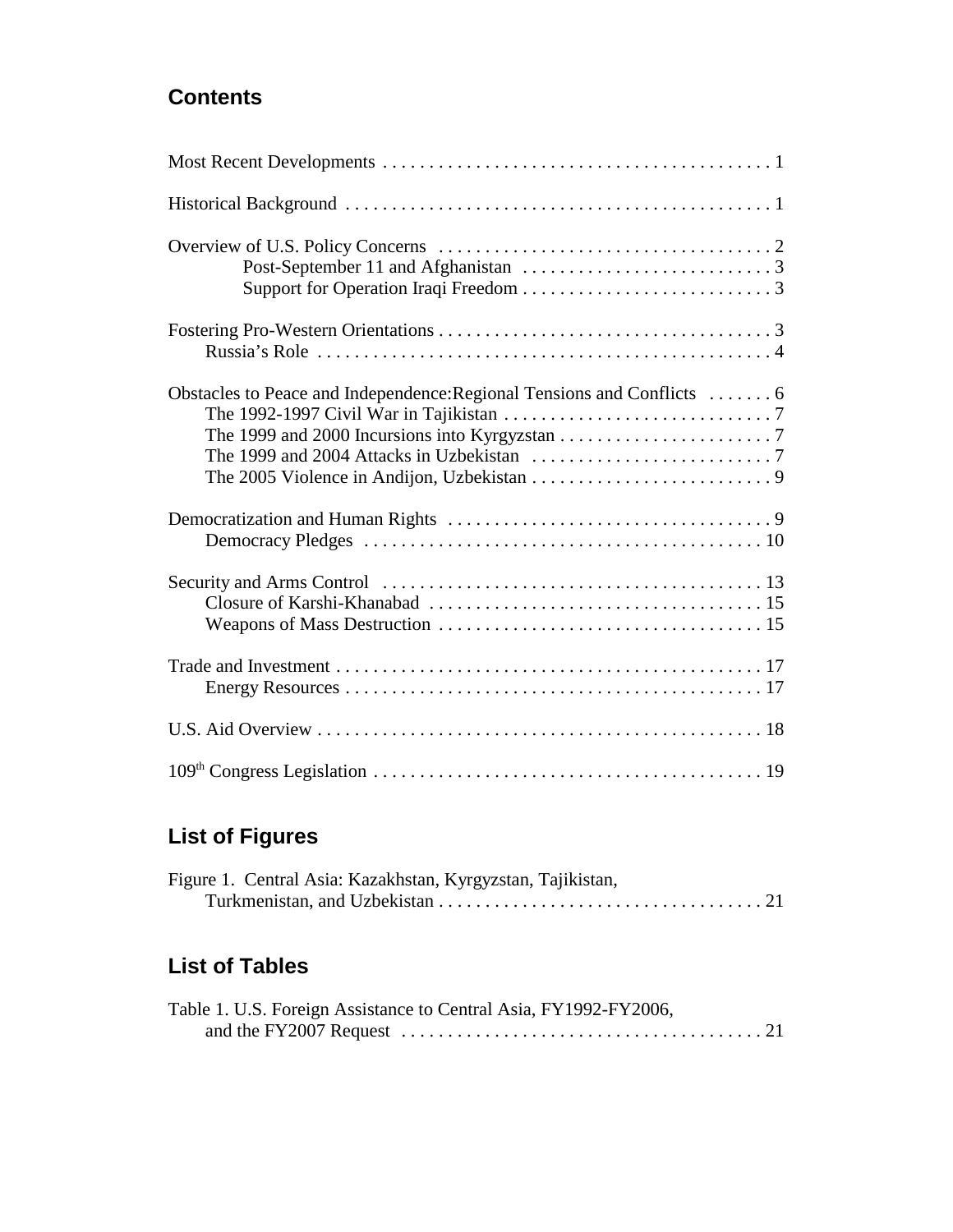## **Contents**

| Obstacles to Peace and Independence: Regional Tensions and Conflicts  6 |
|-------------------------------------------------------------------------|
|                                                                         |
|                                                                         |
|                                                                         |
|                                                                         |
|                                                                         |

## **List of Figures**

|  | Figure 1. Central Asia: Kazakhstan, Kyrgyzstan, Tajikistan, |  |  |  |
|--|-------------------------------------------------------------|--|--|--|
|  |                                                             |  |  |  |

## **List of Tables**

| Table 1. U.S. Foreign Assistance to Central Asia, FY1992-FY2006, |
|------------------------------------------------------------------|
|                                                                  |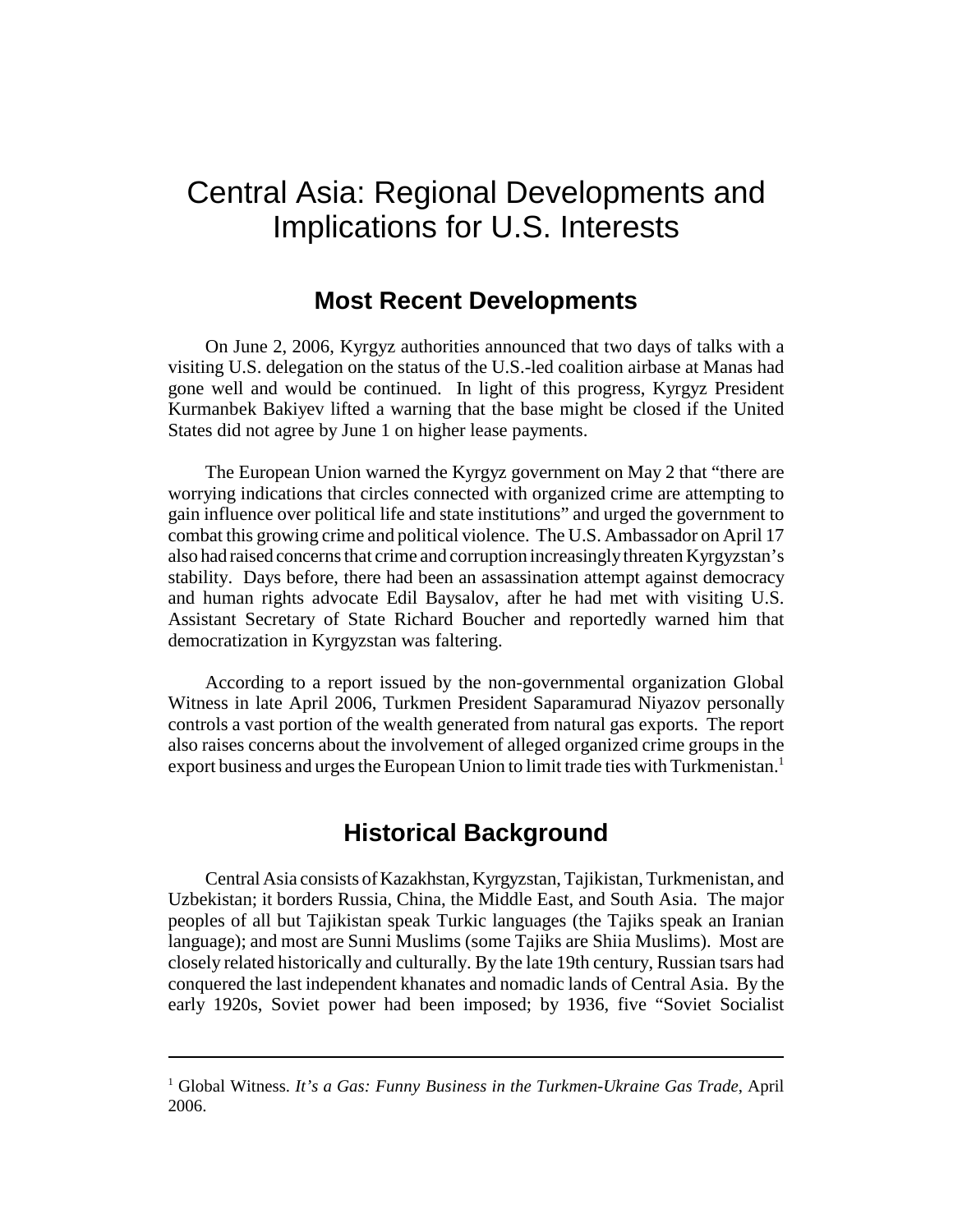## Central Asia: Regional Developments and Implications for U.S. Interests

## **Most Recent Developments**

On June 2, 2006, Kyrgyz authorities announced that two days of talks with a visiting U.S. delegation on the status of the U.S.-led coalition airbase at Manas had gone well and would be continued. In light of this progress, Kyrgyz President Kurmanbek Bakiyev lifted a warning that the base might be closed if the United States did not agree by June 1 on higher lease payments.

The European Union warned the Kyrgyz government on May 2 that "there are worrying indications that circles connected with organized crime are attempting to gain influence over political life and state institutions" and urged the government to combat this growing crime and political violence. The U.S. Ambassador on April 17 also had raised concerns that crime and corruption increasingly threaten Kyrgyzstan's stability. Days before, there had been an assassination attempt against democracy and human rights advocate Edil Baysalov, after he had met with visiting U.S. Assistant Secretary of State Richard Boucher and reportedly warned him that democratization in Kyrgyzstan was faltering.

According to a report issued by the non-governmental organization Global Witness in late April 2006, Turkmen President Saparamurad Niyazov personally controls a vast portion of the wealth generated from natural gas exports. The report also raises concerns about the involvement of alleged organized crime groups in the export business and urges the European Union to limit trade ties with Turkmenistan.<sup>1</sup>

## **Historical Background**

Central Asia consists of Kazakhstan, Kyrgyzstan, Tajikistan, Turkmenistan, and Uzbekistan; it borders Russia, China, the Middle East, and South Asia. The major peoples of all but Tajikistan speak Turkic languages (the Tajiks speak an Iranian language); and most are Sunni Muslims (some Tajiks are Shiia Muslims). Most are closely related historically and culturally. By the late 19th century, Russian tsars had conquered the last independent khanates and nomadic lands of Central Asia. By the early 1920s, Soviet power had been imposed; by 1936, five "Soviet Socialist

<sup>&</sup>lt;sup>1</sup> Global Witness. It's a Gas: Funny Business in the Turkmen-Ukraine Gas Trade, April 2006.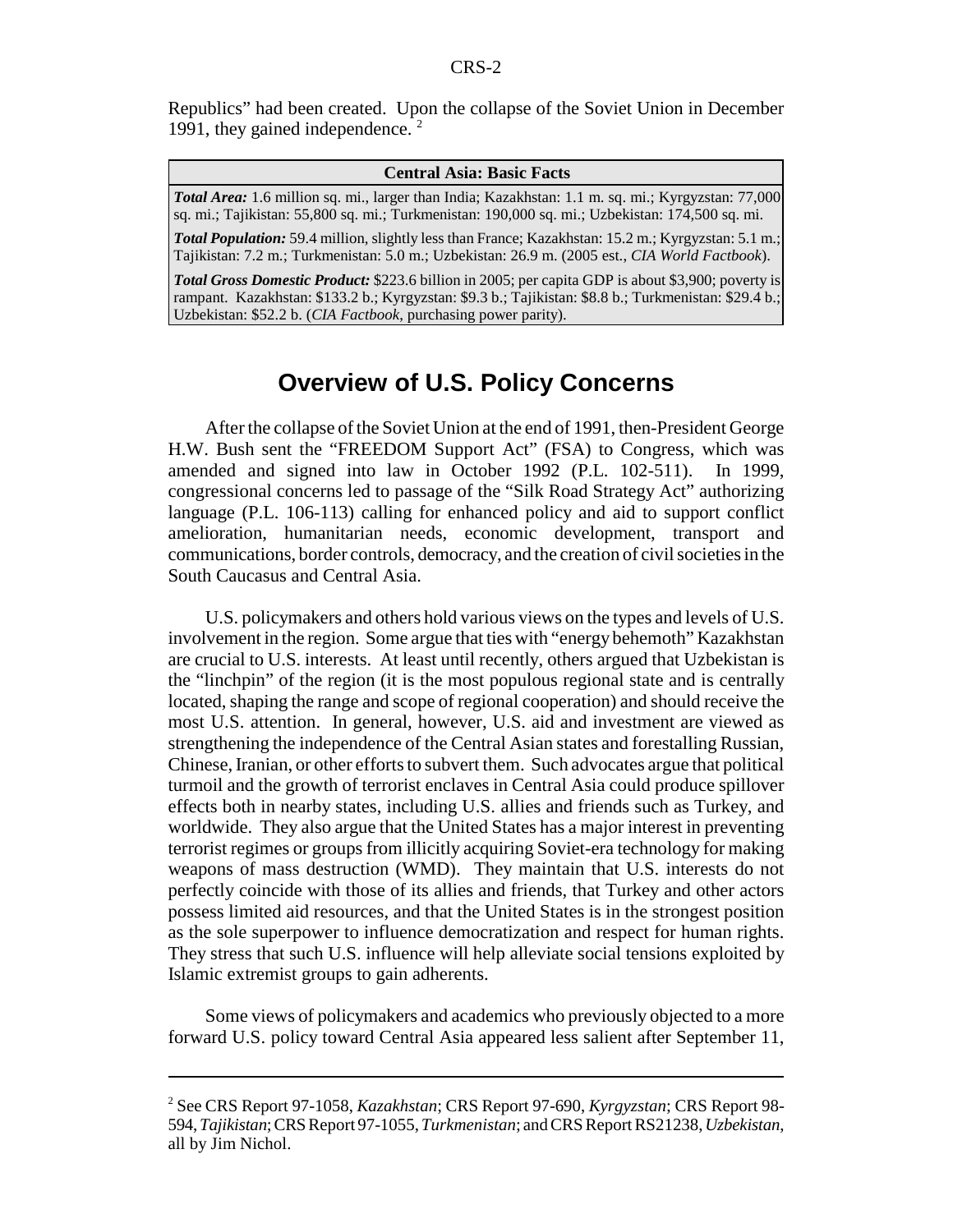Republics" had been created. Upon the collapse of the Soviet Union in December 1991, they gained independence.  $2^2$ 

#### **Central Asia: Basic Facts**

*Total Area:* 1.6 million sq. mi., larger than India; Kazakhstan: 1.1 m. sq. mi.; Kyrgyzstan: 77,000 sq. mi.; Tajikistan: 55,800 sq. mi.; Turkmenistan: 190,000 sq. mi.; Uzbekistan: 174,500 sq. mi.

*Total Population:* 59.4 million, slightly less than France; Kazakhstan: 15.2 m.; Kyrgyzstan: 5.1 m.; Tajikistan: 7.2 m.; Turkmenistan: 5.0 m.; Uzbekistan: 26.9 m. (2005 est., *CIA World Factbook*).

*Total Gross Domestic Product:* \$223.6 billion in 2005; per capita GDP is about \$3,900; poverty is rampant. Kazakhstan: \$133.2 b.; Kyrgyzstan: \$9.3 b.; Tajikistan: \$8.8 b.; Turkmenistan: \$29.4 b.; Uzbekistan: \$52.2 b. (*CIA Factbook*, purchasing power parity).

## **Overview of U.S. Policy Concerns**

After the collapse of the Soviet Union at the end of 1991, then-President George H.W. Bush sent the "FREEDOM Support Act" (FSA) to Congress, which was amended and signed into law in October 1992 (P.L. 102-511). In 1999, congressional concerns led to passage of the "Silk Road Strategy Act" authorizing language (P.L. 106-113) calling for enhanced policy and aid to support conflict amelioration, humanitarian needs, economic development, transport and communications, border controls, democracy, and the creation of civil societies in the South Caucasus and Central Asia.

U.S. policymakers and others hold various views on the types and levels of U.S. involvement in the region. Some argue that ties with "energy behemoth" Kazakhstan are crucial to U.S. interests. At least until recently, others argued that Uzbekistan is the "linchpin" of the region (it is the most populous regional state and is centrally located, shaping the range and scope of regional cooperation) and should receive the most U.S. attention. In general, however, U.S. aid and investment are viewed as strengthening the independence of the Central Asian states and forestalling Russian, Chinese, Iranian, or other efforts to subvert them. Such advocates argue that political turmoil and the growth of terrorist enclaves in Central Asia could produce spillover effects both in nearby states, including U.S. allies and friends such as Turkey, and worldwide. They also argue that the United States has a major interest in preventing terrorist regimes or groups from illicitly acquiring Soviet-era technology for making weapons of mass destruction (WMD). They maintain that U.S. interests do not perfectly coincide with those of its allies and friends, that Turkey and other actors possess limited aid resources, and that the United States is in the strongest position as the sole superpower to influence democratization and respect for human rights. They stress that such U.S. influence will help alleviate social tensions exploited by Islamic extremist groups to gain adherents.

Some views of policymakers and academics who previously objected to a more forward U.S. policy toward Central Asia appeared less salient after September 11,

<sup>2</sup> See CRS Report 97-1058, *Kazakhstan*; CRS Report 97-690, *Kyrgyzstan*; CRS Report 98- 594, *Tajikistan*; CRS Report 97-1055, *Turkmenistan*; and CRS Report RS21238, *Uzbekistan*, all by Jim Nichol.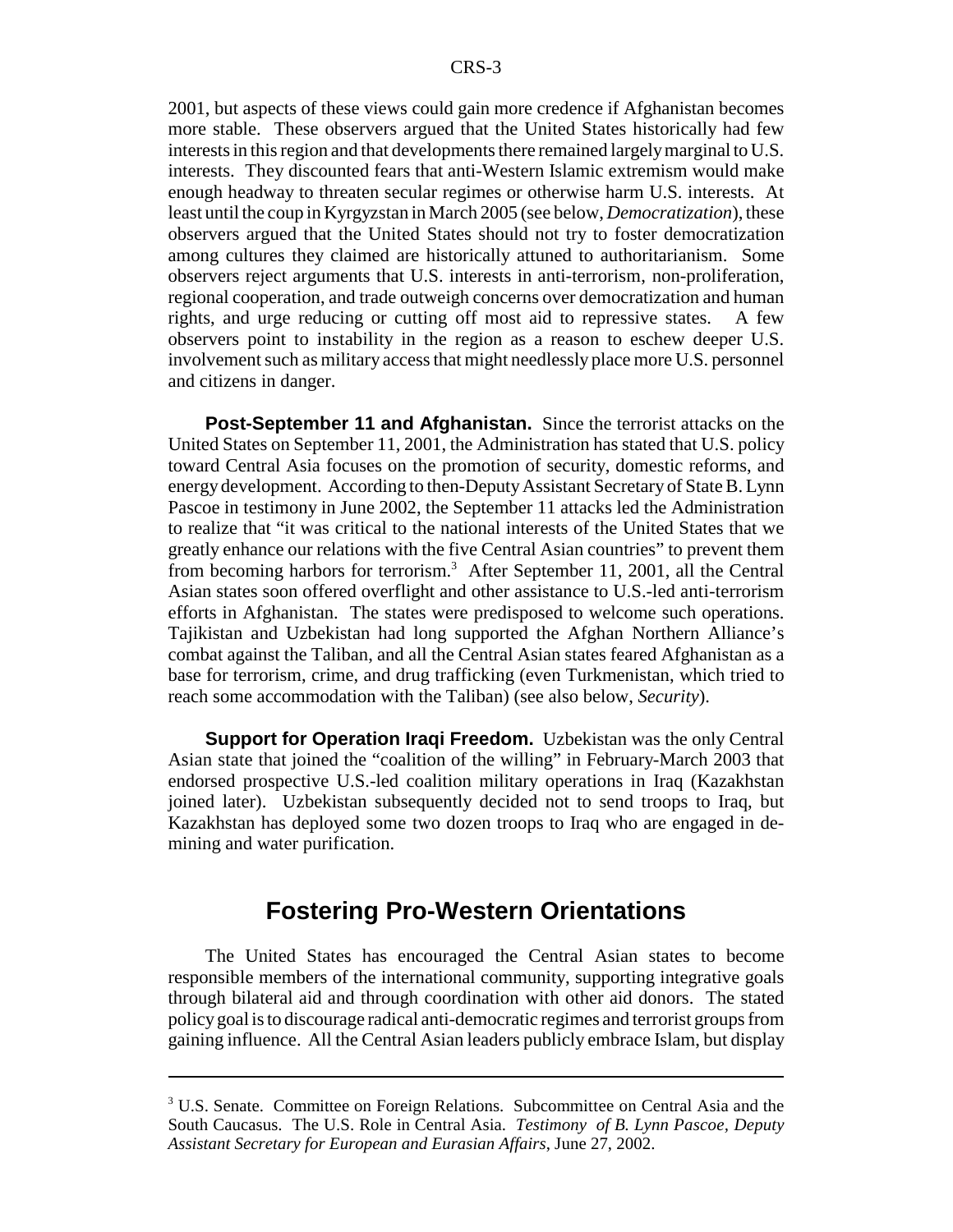2001, but aspects of these views could gain more credence if Afghanistan becomes more stable. These observers argued that the United States historically had few interests in this region and that developments there remained largely marginal to U.S. interests. They discounted fears that anti-Western Islamic extremism would make enough headway to threaten secular regimes or otherwise harm U.S. interests. At least until the coup in Kyrgyzstan in March 2005 (see below, *Democratization*), these observers argued that the United States should not try to foster democratization among cultures they claimed are historically attuned to authoritarianism. Some observers reject arguments that U.S. interests in anti-terrorism, non-proliferation, regional cooperation, and trade outweigh concerns over democratization and human rights, and urge reducing or cutting off most aid to repressive states. A few observers point to instability in the region as a reason to eschew deeper U.S. involvement such as military access that might needlessly place more U.S. personnel and citizens in danger.

**Post-September 11 and Afghanistan.** Since the terrorist attacks on the United States on September 11, 2001, the Administration has stated that U.S. policy toward Central Asia focuses on the promotion of security, domestic reforms, and energy development. According to then-Deputy Assistant Secretary of State B. Lynn Pascoe in testimony in June 2002, the September 11 attacks led the Administration to realize that "it was critical to the national interests of the United States that we greatly enhance our relations with the five Central Asian countries" to prevent them from becoming harbors for terrorism.<sup>3</sup> After September 11, 2001, all the Central Asian states soon offered overflight and other assistance to U.S.-led anti-terrorism efforts in Afghanistan. The states were predisposed to welcome such operations. Tajikistan and Uzbekistan had long supported the Afghan Northern Alliance's combat against the Taliban, and all the Central Asian states feared Afghanistan as a base for terrorism, crime, and drug trafficking (even Turkmenistan, which tried to reach some accommodation with the Taliban) (see also below, *Security*).

**Support for Operation Iraqi Freedom.** Uzbekistan was the only Central Asian state that joined the "coalition of the willing" in February-March 2003 that endorsed prospective U.S.-led coalition military operations in Iraq (Kazakhstan joined later). Uzbekistan subsequently decided not to send troops to Iraq, but Kazakhstan has deployed some two dozen troops to Iraq who are engaged in demining and water purification.

## **Fostering Pro-Western Orientations**

The United States has encouraged the Central Asian states to become responsible members of the international community, supporting integrative goals through bilateral aid and through coordination with other aid donors. The stated policy goal is to discourage radical anti-democratic regimes and terrorist groups from gaining influence. All the Central Asian leaders publicly embrace Islam, but display

<sup>&</sup>lt;sup>3</sup> U.S. Senate. Committee on Foreign Relations. Subcommittee on Central Asia and the South Caucasus. The U.S. Role in Central Asia. *Testimony of B. Lynn Pascoe, Deputy Assistant Secretary for European and Eurasian Affairs*, June 27, 2002.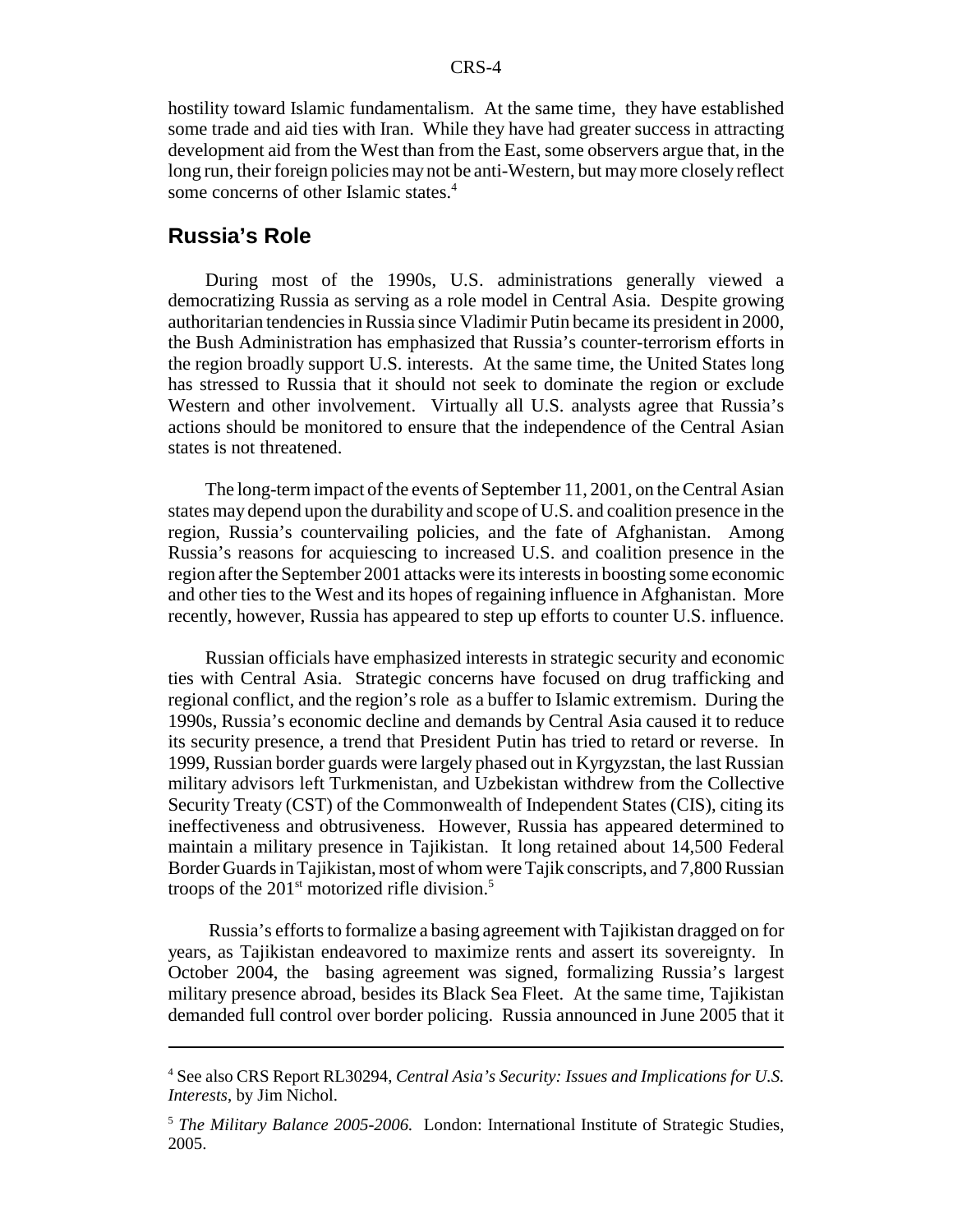hostility toward Islamic fundamentalism. At the same time, they have established some trade and aid ties with Iran. While they have had greater success in attracting development aid from the West than from the East, some observers argue that, in the long run, their foreign policies may not be anti-Western, but may more closely reflect some concerns of other Islamic states.<sup>4</sup>

## **Russia's Role**

During most of the 1990s, U.S. administrations generally viewed a democratizing Russia as serving as a role model in Central Asia. Despite growing authoritarian tendencies in Russia since Vladimir Putin became its president in 2000, the Bush Administration has emphasized that Russia's counter-terrorism efforts in the region broadly support U.S. interests. At the same time, the United States long has stressed to Russia that it should not seek to dominate the region or exclude Western and other involvement. Virtually all U.S. analysts agree that Russia's actions should be monitored to ensure that the independence of the Central Asian states is not threatened.

The long-term impact of the events of September 11, 2001, on the Central Asian states may depend upon the durability and scope of U.S. and coalition presence in the region, Russia's countervailing policies, and the fate of Afghanistan. Among Russia's reasons for acquiescing to increased U.S. and coalition presence in the region after the September 2001 attacks were its interests in boosting some economic and other ties to the West and its hopes of regaining influence in Afghanistan. More recently, however, Russia has appeared to step up efforts to counter U.S. influence.

Russian officials have emphasized interests in strategic security and economic ties with Central Asia. Strategic concerns have focused on drug trafficking and regional conflict, and the region's role as a buffer to Islamic extremism. During the 1990s, Russia's economic decline and demands by Central Asia caused it to reduce its security presence, a trend that President Putin has tried to retard or reverse. In 1999, Russian border guards were largely phased out in Kyrgyzstan, the last Russian military advisors left Turkmenistan, and Uzbekistan withdrew from the Collective Security Treaty (CST) of the Commonwealth of Independent States (CIS), citing its ineffectiveness and obtrusiveness. However, Russia has appeared determined to maintain a military presence in Tajikistan. It long retained about 14,500 Federal Border Guards in Tajikistan, most of whom were Tajik conscripts, and 7,800 Russian troops of the  $201<sup>st</sup>$  motorized rifle division.<sup>5</sup>

 Russia's efforts to formalize a basing agreement with Tajikistan dragged on for years, as Tajikistan endeavored to maximize rents and assert its sovereignty. In October 2004, the basing agreement was signed, formalizing Russia's largest military presence abroad, besides its Black Sea Fleet. At the same time, Tajikistan demanded full control over border policing. Russia announced in June 2005 that it

<sup>4</sup> See also CRS Report RL30294, *Central Asia's Security: Issues and Implications for U.S. Interests*, by Jim Nichol.

<sup>5</sup> *The Military Balance 2005-2006.* London: International Institute of Strategic Studies, 2005.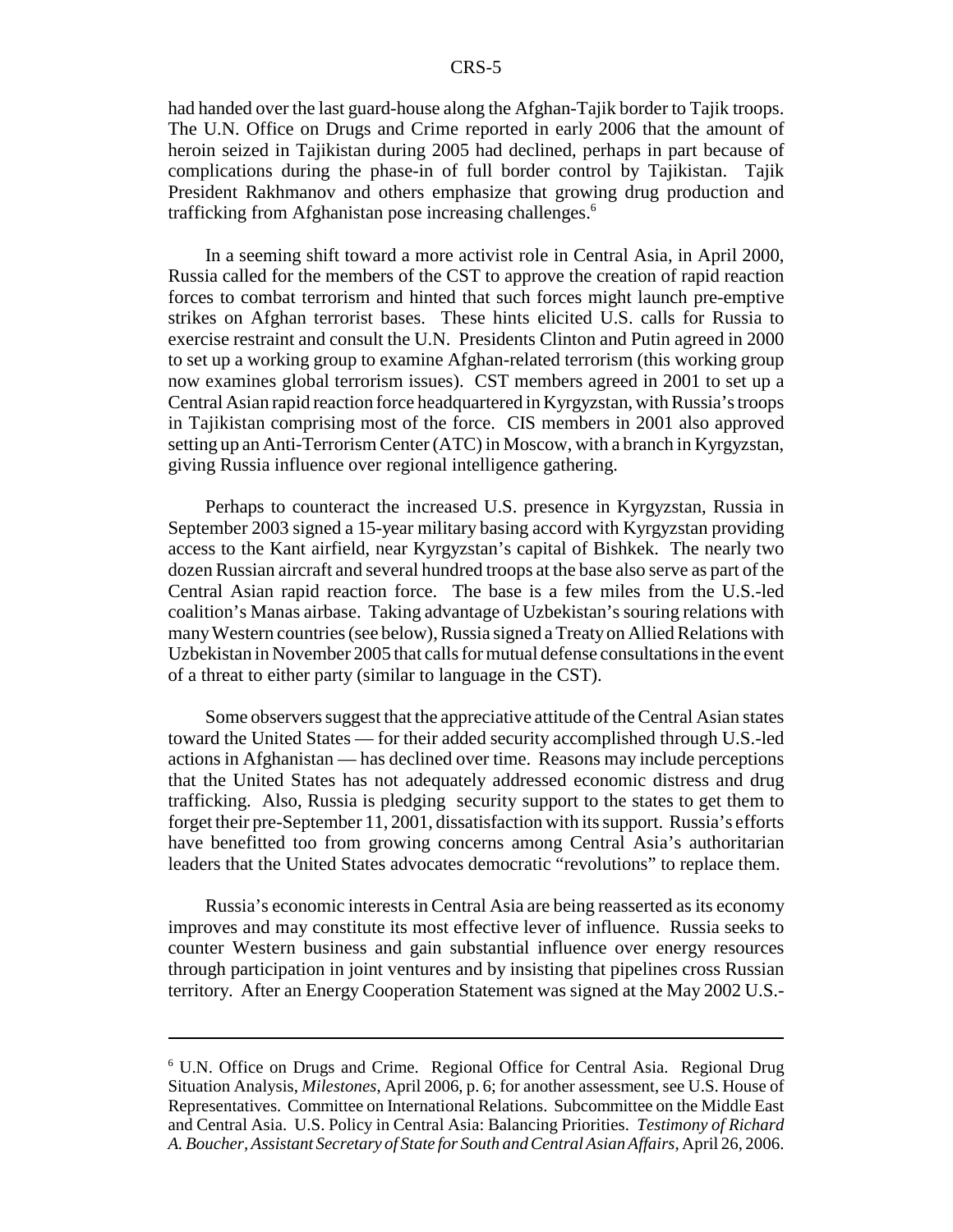had handed over the last guard-house along the Afghan-Tajik border to Tajik troops. The U.N. Office on Drugs and Crime reported in early 2006 that the amount of heroin seized in Tajikistan during 2005 had declined, perhaps in part because of complications during the phase-in of full border control by Tajikistan. Tajik President Rakhmanov and others emphasize that growing drug production and trafficking from Afghanistan pose increasing challenges.<sup>6</sup>

In a seeming shift toward a more activist role in Central Asia, in April 2000, Russia called for the members of the CST to approve the creation of rapid reaction forces to combat terrorism and hinted that such forces might launch pre-emptive strikes on Afghan terrorist bases. These hints elicited U.S. calls for Russia to exercise restraint and consult the U.N. Presidents Clinton and Putin agreed in 2000 to set up a working group to examine Afghan-related terrorism (this working group now examines global terrorism issues). CST members agreed in 2001 to set up a Central Asian rapid reaction force headquartered in Kyrgyzstan, with Russia's troops in Tajikistan comprising most of the force. CIS members in 2001 also approved setting up an Anti-Terrorism Center (ATC) in Moscow, with a branch in Kyrgyzstan, giving Russia influence over regional intelligence gathering.

Perhaps to counteract the increased U.S. presence in Kyrgyzstan, Russia in September 2003 signed a 15-year military basing accord with Kyrgyzstan providing access to the Kant airfield, near Kyrgyzstan's capital of Bishkek. The nearly two dozen Russian aircraft and several hundred troops at the base also serve as part of the Central Asian rapid reaction force. The base is a few miles from the U.S.-led coalition's Manas airbase. Taking advantage of Uzbekistan's souring relations with many Western countries (see below), Russia signed a Treaty on Allied Relations with Uzbekistan in November 2005 that calls for mutual defense consultations in the event of a threat to either party (similar to language in the CST).

Some observers suggest that the appreciative attitude of the Central Asian states toward the United States — for their added security accomplished through U.S.-led actions in Afghanistan — has declined over time. Reasons may include perceptions that the United States has not adequately addressed economic distress and drug trafficking. Also, Russia is pledging security support to the states to get them to forget their pre-September 11, 2001, dissatisfaction with its support. Russia's efforts have benefitted too from growing concerns among Central Asia's authoritarian leaders that the United States advocates democratic "revolutions" to replace them.

Russia's economic interests in Central Asia are being reasserted as its economy improves and may constitute its most effective lever of influence. Russia seeks to counter Western business and gain substantial influence over energy resources through participation in joint ventures and by insisting that pipelines cross Russian territory. After an Energy Cooperation Statement was signed at the May 2002 U.S.-

<sup>6</sup> U.N. Office on Drugs and Crime. Regional Office for Central Asia. Regional Drug Situation Analysis, *Milestones*, April 2006, p. 6; for another assessment, see U.S. House of Representatives. Committee on International Relations. Subcommittee on the Middle East and Central Asia. U.S. Policy in Central Asia: Balancing Priorities. *Testimony of Richard A. Boucher, Assistant Secretary of State for South and Central Asian Affairs*, April 26, 2006.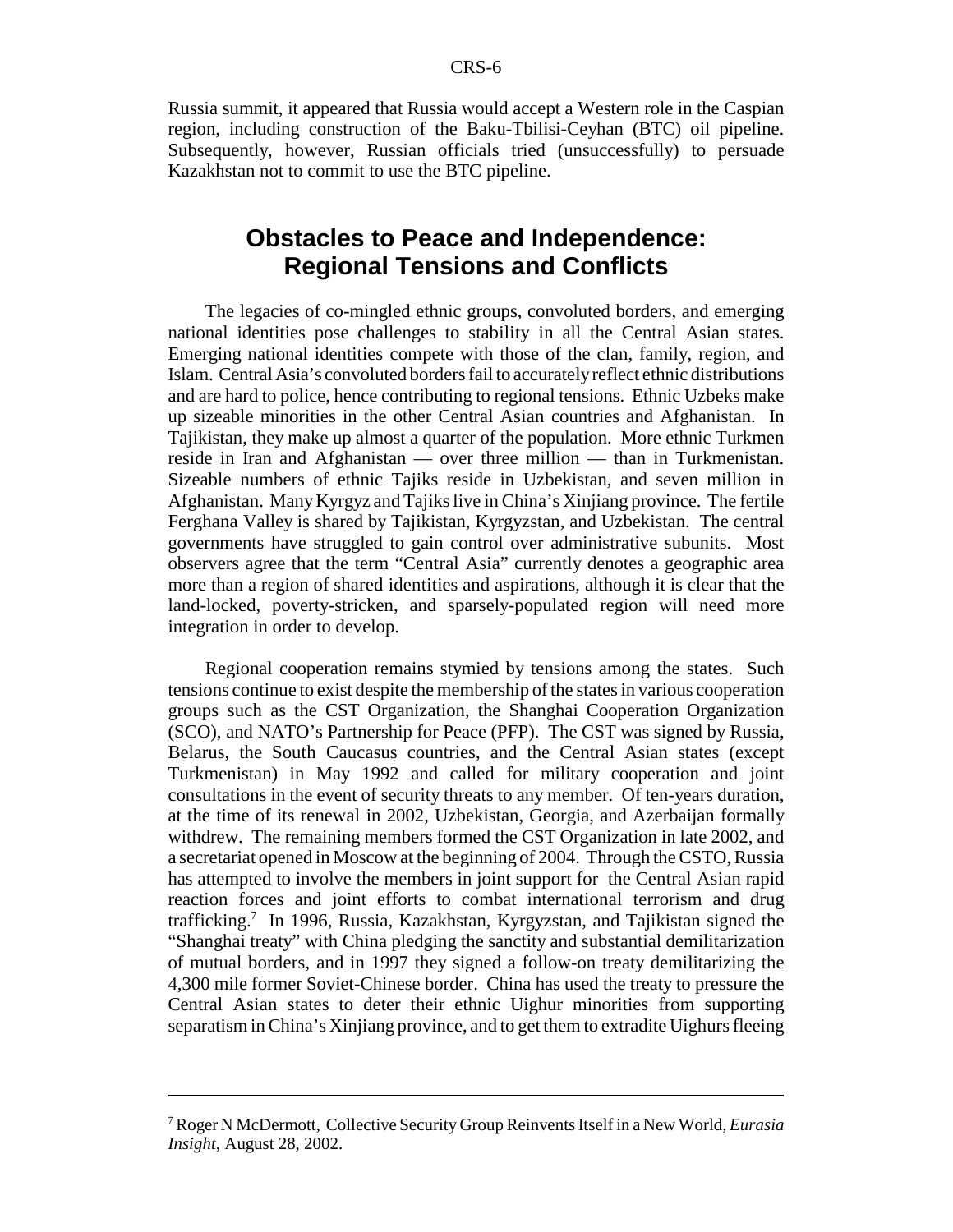Russia summit, it appeared that Russia would accept a Western role in the Caspian region, including construction of the Baku-Tbilisi-Ceyhan (BTC) oil pipeline. Subsequently, however, Russian officials tried (unsuccessfully) to persuade Kazakhstan not to commit to use the BTC pipeline.

## **Obstacles to Peace and Independence: Regional Tensions and Conflicts**

The legacies of co-mingled ethnic groups, convoluted borders, and emerging national identities pose challenges to stability in all the Central Asian states. Emerging national identities compete with those of the clan, family, region, and Islam. Central Asia's convoluted borders fail to accurately reflect ethnic distributions and are hard to police, hence contributing to regional tensions. Ethnic Uzbeks make up sizeable minorities in the other Central Asian countries and Afghanistan. In Tajikistan, they make up almost a quarter of the population. More ethnic Turkmen reside in Iran and Afghanistan — over three million — than in Turkmenistan. Sizeable numbers of ethnic Tajiks reside in Uzbekistan, and seven million in Afghanistan. Many Kyrgyz and Tajiks live in China's Xinjiang province. The fertile Ferghana Valley is shared by Tajikistan, Kyrgyzstan, and Uzbekistan. The central governments have struggled to gain control over administrative subunits. Most observers agree that the term "Central Asia" currently denotes a geographic area more than a region of shared identities and aspirations, although it is clear that the land-locked, poverty-stricken, and sparsely-populated region will need more integration in order to develop.

Regional cooperation remains stymied by tensions among the states. Such tensions continue to exist despite the membership of the states in various cooperation groups such as the CST Organization, the Shanghai Cooperation Organization (SCO), and NATO's Partnership for Peace (PFP). The CST was signed by Russia, Belarus, the South Caucasus countries, and the Central Asian states (except Turkmenistan) in May 1992 and called for military cooperation and joint consultations in the event of security threats to any member. Of ten-years duration, at the time of its renewal in 2002, Uzbekistan, Georgia, and Azerbaijan formally withdrew. The remaining members formed the CST Organization in late 2002, and a secretariat opened in Moscow at the beginning of 2004. Through the CSTO, Russia has attempted to involve the members in joint support for the Central Asian rapid reaction forces and joint efforts to combat international terrorism and drug trafficking.<sup>7</sup> In 1996, Russia, Kazakhstan, Kyrgyzstan, and Tajikistan signed the "Shanghai treaty" with China pledging the sanctity and substantial demilitarization of mutual borders, and in 1997 they signed a follow-on treaty demilitarizing the 4,300 mile former Soviet-Chinese border. China has used the treaty to pressure the Central Asian states to deter their ethnic Uighur minorities from supporting separatism in China's Xinjiang province, and to get them to extradite Uighurs fleeing

<sup>7</sup> Roger N McDermott, Collective Security Group Reinvents Itself in a New World, *Eurasia Insight*, August 28, 2002.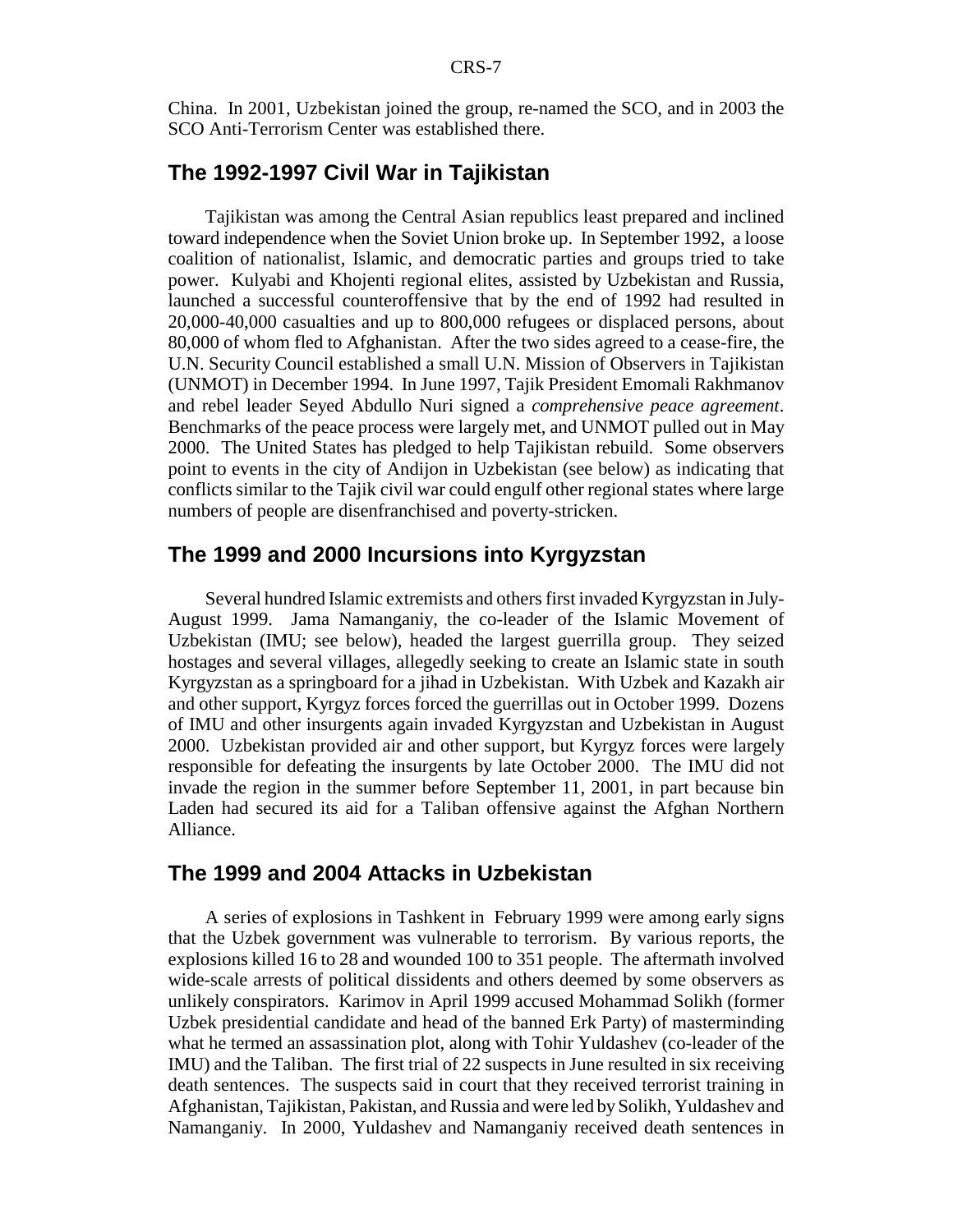China. In 2001, Uzbekistan joined the group, re-named the SCO, and in 2003 the SCO Anti-Terrorism Center was established there.

## **The 1992-1997 Civil War in Tajikistan**

Tajikistan was among the Central Asian republics least prepared and inclined toward independence when the Soviet Union broke up. In September 1992, a loose coalition of nationalist, Islamic, and democratic parties and groups tried to take power. Kulyabi and Khojenti regional elites, assisted by Uzbekistan and Russia, launched a successful counteroffensive that by the end of 1992 had resulted in 20,000-40,000 casualties and up to 800,000 refugees or displaced persons, about 80,000 of whom fled to Afghanistan. After the two sides agreed to a cease-fire, the U.N. Security Council established a small U.N. Mission of Observers in Tajikistan (UNMOT) in December 1994. In June 1997, Tajik President Emomali Rakhmanov and rebel leader Seyed Abdullo Nuri signed a *comprehensive peace agreement*. Benchmarks of the peace process were largely met, and UNMOT pulled out in May 2000. The United States has pledged to help Tajikistan rebuild. Some observers point to events in the city of Andijon in Uzbekistan (see below) as indicating that conflicts similar to the Tajik civil war could engulf other regional states where large numbers of people are disenfranchised and poverty-stricken.

#### **The 1999 and 2000 Incursions into Kyrgyzstan**

Several hundred Islamic extremists and others first invaded Kyrgyzstan in July-August 1999. Jama Namanganiy, the co-leader of the Islamic Movement of Uzbekistan (IMU; see below), headed the largest guerrilla group. They seized hostages and several villages, allegedly seeking to create an Islamic state in south Kyrgyzstan as a springboard for a jihad in Uzbekistan. With Uzbek and Kazakh air and other support, Kyrgyz forces forced the guerrillas out in October 1999. Dozens of IMU and other insurgents again invaded Kyrgyzstan and Uzbekistan in August 2000. Uzbekistan provided air and other support, but Kyrgyz forces were largely responsible for defeating the insurgents by late October 2000. The IMU did not invade the region in the summer before September 11, 2001, in part because bin Laden had secured its aid for a Taliban offensive against the Afghan Northern Alliance.

#### **The 1999 and 2004 Attacks in Uzbekistan**

A series of explosions in Tashkent in February 1999 were among early signs that the Uzbek government was vulnerable to terrorism. By various reports, the explosions killed 16 to 28 and wounded 100 to 351 people. The aftermath involved wide-scale arrests of political dissidents and others deemed by some observers as unlikely conspirators. Karimov in April 1999 accused Mohammad Solikh (former Uzbek presidential candidate and head of the banned Erk Party) of masterminding what he termed an assassination plot, along with Tohir Yuldashev (co-leader of the IMU) and the Taliban. The first trial of 22 suspects in June resulted in six receiving death sentences. The suspects said in court that they received terrorist training in Afghanistan, Tajikistan, Pakistan, and Russia and were led by Solikh, Yuldashev and Namanganiy. In 2000, Yuldashev and Namanganiy received death sentences in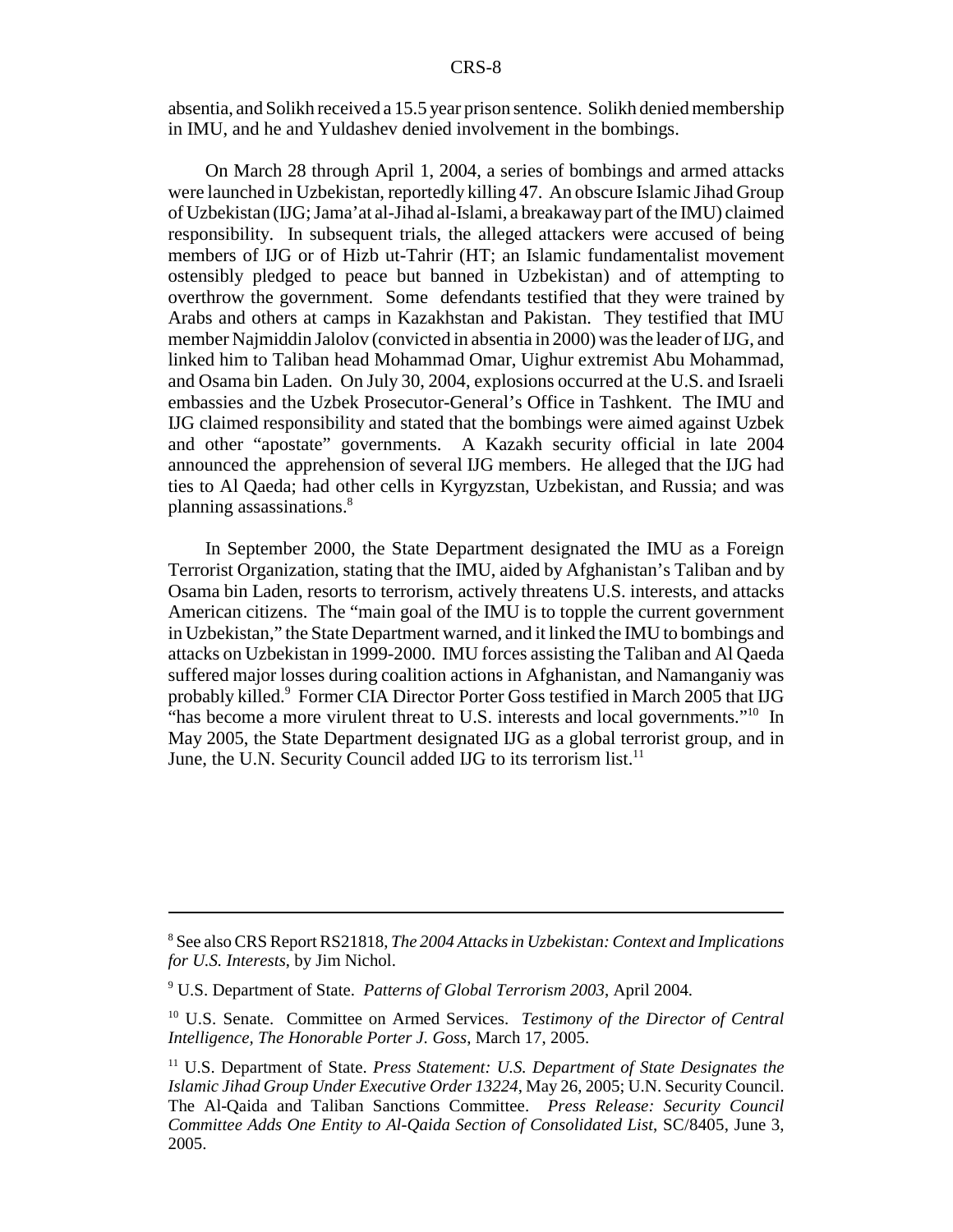absentia, and Solikh received a 15.5 year prison sentence. Solikh denied membership in IMU, and he and Yuldashev denied involvement in the bombings.

On March 28 through April 1, 2004, a series of bombings and armed attacks were launched in Uzbekistan, reportedly killing 47. An obscure Islamic Jihad Group of Uzbekistan (IJG; Jama'at al-Jihad al-Islami, a breakaway part of the IMU) claimed responsibility. In subsequent trials, the alleged attackers were accused of being members of IJG or of Hizb ut-Tahrir (HT; an Islamic fundamentalist movement ostensibly pledged to peace but banned in Uzbekistan) and of attempting to overthrow the government. Some defendants testified that they were trained by Arabs and others at camps in Kazakhstan and Pakistan. They testified that IMU member Najmiddin Jalolov (convicted in absentia in 2000) was the leader of IJG, and linked him to Taliban head Mohammad Omar, Uighur extremist Abu Mohammad, and Osama bin Laden. On July 30, 2004, explosions occurred at the U.S. and Israeli embassies and the Uzbek Prosecutor-General's Office in Tashkent. The IMU and IJG claimed responsibility and stated that the bombings were aimed against Uzbek and other "apostate" governments. A Kazakh security official in late 2004 announced the apprehension of several IJG members. He alleged that the IJG had ties to Al Qaeda; had other cells in Kyrgyzstan, Uzbekistan, and Russia; and was planning assassinations.8

In September 2000, the State Department designated the IMU as a Foreign Terrorist Organization, stating that the IMU, aided by Afghanistan's Taliban and by Osama bin Laden, resorts to terrorism, actively threatens U.S. interests, and attacks American citizens. The "main goal of the IMU is to topple the current government in Uzbekistan," the State Department warned, and it linked the IMU to bombings and attacks on Uzbekistan in 1999-2000. IMU forces assisting the Taliban and Al Qaeda suffered major losses during coalition actions in Afghanistan, and Namanganiy was probably killed.<sup>9</sup> Former CIA Director Porter Goss testified in March 2005 that IJG "has become a more virulent threat to U.S. interests and local governments."<sup>10</sup> In May 2005, the State Department designated IJG as a global terrorist group, and in June, the U.N. Security Council added IJG to its terrorism list.<sup>11</sup>

<sup>8</sup> See also CRS Report RS21818, *The 2004 Attacks in Uzbekistan: Context and Implications for U.S. Interests*, by Jim Nichol.

<sup>9</sup> U.S. Department of State. *Patterns of Global Terrorism 2003*, April 2004.

<sup>10</sup> U.S. Senate. Committee on Armed Services. *Testimony of the Director of Central Intelligence, The Honorable Porter J. Goss*, March 17, 2005.

<sup>&</sup>lt;sup>11</sup> U.S. Department of State. *Press Statement: U.S. Department of State Designates the Islamic Jihad Group Under Executive Order 13224*, May 26, 2005; U.N. Security Council. The Al-Qaida and Taliban Sanctions Committee. *Press Release: Security Council Committee Adds One Entity to Al-Qaida Section of Consolidated List*, SC/8405, June 3, 2005.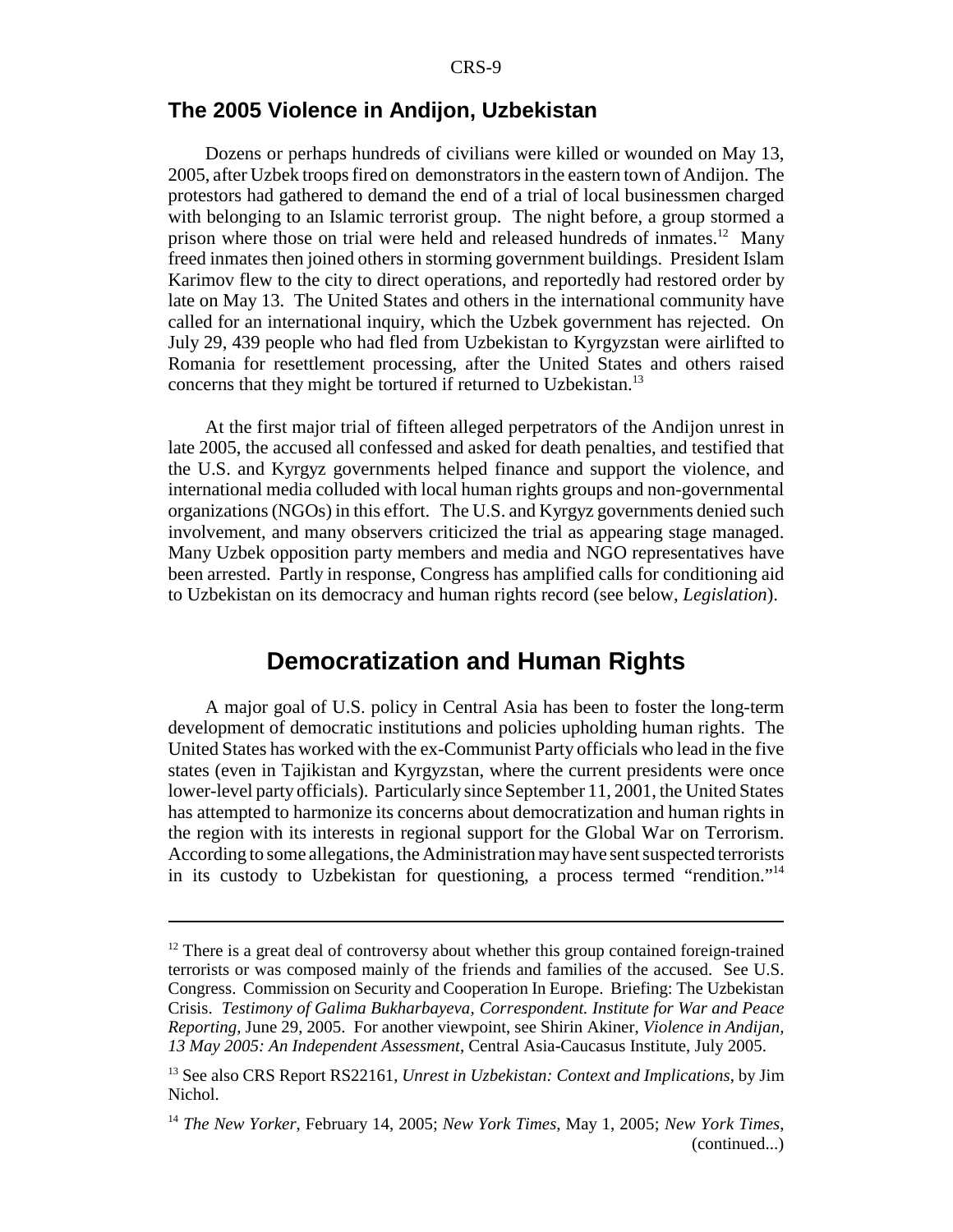#### **The 2005 Violence in Andijon, Uzbekistan**

Dozens or perhaps hundreds of civilians were killed or wounded on May 13, 2005, after Uzbek troops fired on demonstrators in the eastern town of Andijon. The protestors had gathered to demand the end of a trial of local businessmen charged with belonging to an Islamic terrorist group. The night before, a group stormed a prison where those on trial were held and released hundreds of inmates.<sup>12</sup> Many freed inmates then joined others in storming government buildings. President Islam Karimov flew to the city to direct operations, and reportedly had restored order by late on May 13. The United States and others in the international community have called for an international inquiry, which the Uzbek government has rejected. On July 29, 439 people who had fled from Uzbekistan to Kyrgyzstan were airlifted to Romania for resettlement processing, after the United States and others raised concerns that they might be tortured if returned to Uzbekistan.<sup>13</sup>

At the first major trial of fifteen alleged perpetrators of the Andijon unrest in late 2005, the accused all confessed and asked for death penalties, and testified that the U.S. and Kyrgyz governments helped finance and support the violence, and international media colluded with local human rights groups and non-governmental organizations (NGOs) in this effort. The U.S. and Kyrgyz governments denied such involvement, and many observers criticized the trial as appearing stage managed. Many Uzbek opposition party members and media and NGO representatives have been arrested. Partly in response, Congress has amplified calls for conditioning aid to Uzbekistan on its democracy and human rights record (see below, *Legislation*).

## **Democratization and Human Rights**

A major goal of U.S. policy in Central Asia has been to foster the long-term development of democratic institutions and policies upholding human rights. The United States has worked with the ex-Communist Party officials who lead in the five states (even in Tajikistan and Kyrgyzstan, where the current presidents were once lower-level party officials). Particularly since September 11, 2001, the United States has attempted to harmonize its concerns about democratization and human rights in the region with its interests in regional support for the Global War on Terrorism. According to some allegations, the Administration may have sent suspected terrorists in its custody to Uzbekistan for questioning, a process termed "rendition."14

 $12$  There is a great deal of controversy about whether this group contained foreign-trained terrorists or was composed mainly of the friends and families of the accused. See U.S. Congress. Commission on Security and Cooperation In Europe. Briefing: The Uzbekistan Crisis. *Testimony of Galima Bukharbayeva, Correspondent. Institute for War and Peace Reporting,* June 29, 2005. For another viewpoint, see Shirin Akiner, *Violence in Andijan, 13 May 2005: An Independent Assessment*, Central Asia-Caucasus Institute, July 2005.

<sup>13</sup> See also CRS Report RS22161, *Unrest in Uzbekistan: Context and Implications*, by Jim Nichol.

<sup>14</sup> *The New Yorker*, February 14, 2005; *New York Times*, May 1, 2005; *New York Times*, (continued...)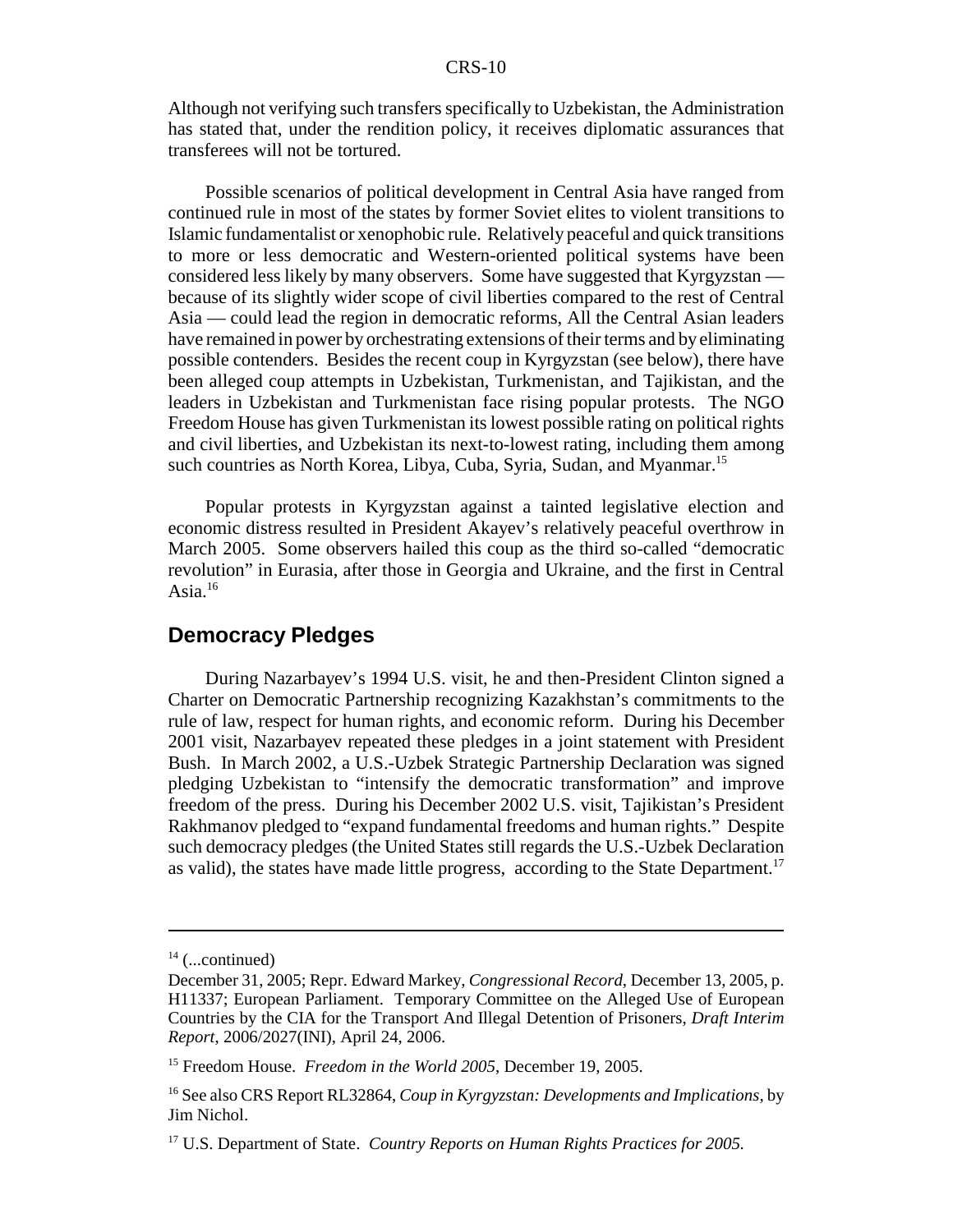Although not verifying such transfers specifically to Uzbekistan, the Administration has stated that, under the rendition policy, it receives diplomatic assurances that transferees will not be tortured.

Possible scenarios of political development in Central Asia have ranged from continued rule in most of the states by former Soviet elites to violent transitions to Islamic fundamentalist or xenophobic rule. Relatively peaceful and quick transitions to more or less democratic and Western-oriented political systems have been considered less likely by many observers. Some have suggested that Kyrgyzstan because of its slightly wider scope of civil liberties compared to the rest of Central Asia — could lead the region in democratic reforms, All the Central Asian leaders have remained in power by orchestrating extensions of their terms and by eliminating possible contenders. Besides the recent coup in Kyrgyzstan (see below), there have been alleged coup attempts in Uzbekistan, Turkmenistan, and Tajikistan, and the leaders in Uzbekistan and Turkmenistan face rising popular protests. The NGO Freedom House has given Turkmenistan its lowest possible rating on political rights and civil liberties, and Uzbekistan its next-to-lowest rating, including them among such countries as North Korea, Libya, Cuba, Syria, Sudan, and Myanmar.<sup>15</sup>

Popular protests in Kyrgyzstan against a tainted legislative election and economic distress resulted in President Akayev's relatively peaceful overthrow in March 2005. Some observers hailed this coup as the third so-called "democratic revolution" in Eurasia, after those in Georgia and Ukraine, and the first in Central Asia. $16$ 

### **Democracy Pledges**

During Nazarbayev's 1994 U.S. visit, he and then-President Clinton signed a Charter on Democratic Partnership recognizing Kazakhstan's commitments to the rule of law, respect for human rights, and economic reform. During his December 2001 visit, Nazarbayev repeated these pledges in a joint statement with President Bush. In March 2002, a U.S.-Uzbek Strategic Partnership Declaration was signed pledging Uzbekistan to "intensify the democratic transformation" and improve freedom of the press. During his December 2002 U.S. visit, Tajikistan's President Rakhmanov pledged to "expand fundamental freedoms and human rights." Despite such democracy pledges (the United States still regards the U.S.-Uzbek Declaration as valid), the states have made little progress, according to the State Department.17

 $14$  (...continued)

December 31, 2005; Repr. Edward Markey, *Congressional Record*, December 13, 2005, p. H11337; European Parliament. Temporary Committee on the Alleged Use of European Countries by the CIA for the Transport And Illegal Detention of Prisoners, *Draft Interim Report*, 2006/2027(INI), April 24, 2006.

<sup>15</sup> Freedom House. *Freedom in the World 2005*, December 19, 2005.

<sup>16</sup> See also CRS Report RL32864, *Coup in Kyrgyzstan: Developments and Implications*, by Jim Nichol.

<sup>17</sup> U.S. Department of State. *Country Reports on Human Rights Practices for 2005.*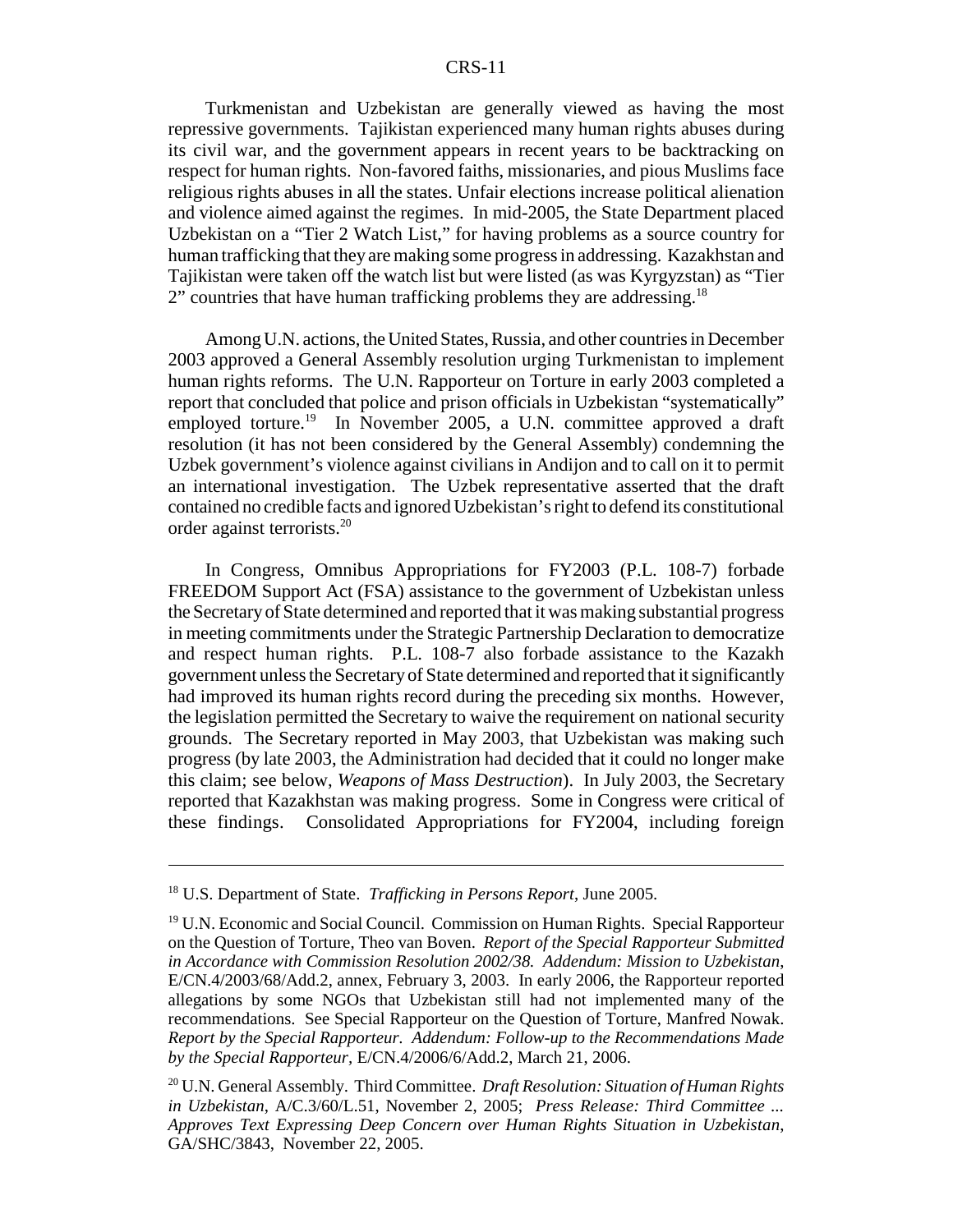Turkmenistan and Uzbekistan are generally viewed as having the most repressive governments. Tajikistan experienced many human rights abuses during its civil war, and the government appears in recent years to be backtracking on respect for human rights. Non-favored faiths, missionaries, and pious Muslims face religious rights abuses in all the states. Unfair elections increase political alienation and violence aimed against the regimes. In mid-2005, the State Department placed Uzbekistan on a "Tier 2 Watch List," for having problems as a source country for human trafficking that they are making some progress in addressing. Kazakhstan and Tajikistan were taken off the watch list but were listed (as was Kyrgyzstan) as "Tier 2" countries that have human trafficking problems they are addressing.<sup>18</sup>

Among U.N. actions, the United States, Russia, and other countries in December 2003 approved a General Assembly resolution urging Turkmenistan to implement human rights reforms. The U.N. Rapporteur on Torture in early 2003 completed a report that concluded that police and prison officials in Uzbekistan "systematically" employed torture.<sup>19</sup> In November 2005, a U.N. committee approved a draft resolution (it has not been considered by the General Assembly) condemning the Uzbek government's violence against civilians in Andijon and to call on it to permit an international investigation. The Uzbek representative asserted that the draft contained no credible facts and ignored Uzbekistan's right to defend its constitutional order against terrorists.<sup>20</sup>

In Congress, Omnibus Appropriations for FY2003 (P.L. 108-7) forbade FREEDOM Support Act (FSA) assistance to the government of Uzbekistan unless the Secretary of State determined and reported that it was making substantial progress in meeting commitments under the Strategic Partnership Declaration to democratize and respect human rights. P.L. 108-7 also forbade assistance to the Kazakh government unless the Secretary of State determined and reported that it significantly had improved its human rights record during the preceding six months. However, the legislation permitted the Secretary to waive the requirement on national security grounds. The Secretary reported in May 2003, that Uzbekistan was making such progress (by late 2003, the Administration had decided that it could no longer make this claim; see below, *Weapons of Mass Destruction*). In July 2003, the Secretary reported that Kazakhstan was making progress. Some in Congress were critical of these findings. Consolidated Appropriations for FY2004, including foreign

<sup>18</sup> U.S. Department of State. *Trafficking in Persons Report*, June 2005.

<sup>&</sup>lt;sup>19</sup> U.N. Economic and Social Council. Commission on Human Rights. Special Rapporteur on the Question of Torture, Theo van Boven. *Report of the Special Rapporteur Submitted in Accordance with Commission Resolution 2002/38. Addendum: Mission to Uzbekistan*, E/CN.4/2003/68/Add.2, annex, February 3, 2003. In early 2006, the Rapporteur reported allegations by some NGOs that Uzbekistan still had not implemented many of the recommendations. See Special Rapporteur on the Question of Torture, Manfred Nowak. *Report by the Special Rapporteur. Addendum: Follow-up to the Recommendations Made by the Special Rapporteur,* E/CN.4/2006/6/Add.2, March 21, 2006.

<sup>20</sup> U.N. General Assembly. Third Committee. *Draft Resolution: Situation of Human Rights in Uzbekistan*, A/C.3/60/L.51, November 2, 2005; *Press Release: Third Committee ... Approves Text Expressing Deep Concern over Human Rights Situation in Uzbekistan*, GA/SHC/3843, November 22, 2005.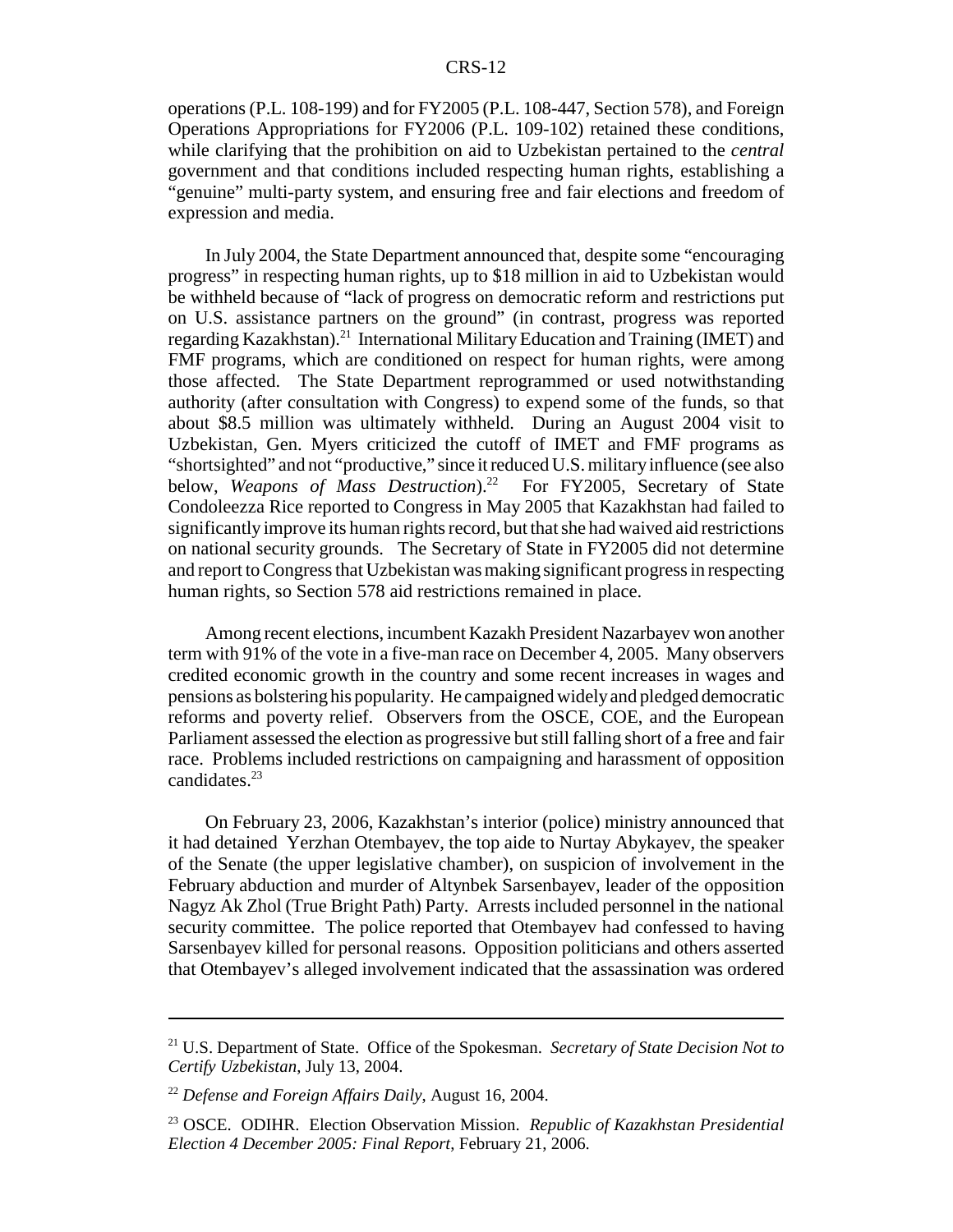operations (P.L. 108-199) and for FY2005 (P.L. 108-447, Section 578), and Foreign Operations Appropriations for FY2006 (P.L. 109-102) retained these conditions, while clarifying that the prohibition on aid to Uzbekistan pertained to the *central* government and that conditions included respecting human rights, establishing a "genuine" multi-party system, and ensuring free and fair elections and freedom of expression and media.

In July 2004, the State Department announced that, despite some "encouraging progress" in respecting human rights, up to \$18 million in aid to Uzbekistan would be withheld because of "lack of progress on democratic reform and restrictions put on U.S. assistance partners on the ground" (in contrast, progress was reported regarding Kazakhstan).<sup>21</sup> International Military Education and Training (IMET) and FMF programs, which are conditioned on respect for human rights, were among those affected. The State Department reprogrammed or used notwithstanding authority (after consultation with Congress) to expend some of the funds, so that about \$8.5 million was ultimately withheld. During an August 2004 visit to Uzbekistan, Gen. Myers criticized the cutoff of IMET and FMF programs as "shortsighted" and not "productive," since it reduced U.S. military influence (see also below, *Weapons of Mass Destruction*).<sup>22</sup> For FY2005, Secretary of State Condoleezza Rice reported to Congress in May 2005 that Kazakhstan had failed to significantly improve its human rights record, but that she had waived aid restrictions on national security grounds. The Secretary of State in FY2005 did not determine and report to Congress that Uzbekistan was making significant progress in respecting human rights, so Section 578 aid restrictions remained in place.

Among recent elections, incumbent Kazakh President Nazarbayev won another term with 91% of the vote in a five-man race on December 4, 2005. Many observers credited economic growth in the country and some recent increases in wages and pensions as bolstering his popularity. He campaigned widely and pledged democratic reforms and poverty relief. Observers from the OSCE, COE, and the European Parliament assessed the election as progressive but still falling short of a free and fair race. Problems included restrictions on campaigning and harassment of opposition candidates.<sup>23</sup>

On February 23, 2006, Kazakhstan's interior (police) ministry announced that it had detained Yerzhan Otembayev, the top aide to Nurtay Abykayev, the speaker of the Senate (the upper legislative chamber), on suspicion of involvement in the February abduction and murder of Altynbek Sarsenbayev, leader of the opposition Nagyz Ak Zhol (True Bright Path) Party. Arrests included personnel in the national security committee. The police reported that Otembayev had confessed to having Sarsenbayev killed for personal reasons. Opposition politicians and others asserted that Otembayev's alleged involvement indicated that the assassination was ordered

<sup>21</sup> U.S. Department of State. Office of the Spokesman. *Secretary of State Decision Not to Certify Uzbekistan*, July 13, 2004.

<sup>22</sup> *Defense and Foreign Affairs Daily*, August 16, 2004.

<sup>23</sup> OSCE. ODIHR. Election Observation Mission. *Republic of Kazakhstan Presidential Election 4 December 2005: Final Report*, February 21, 2006.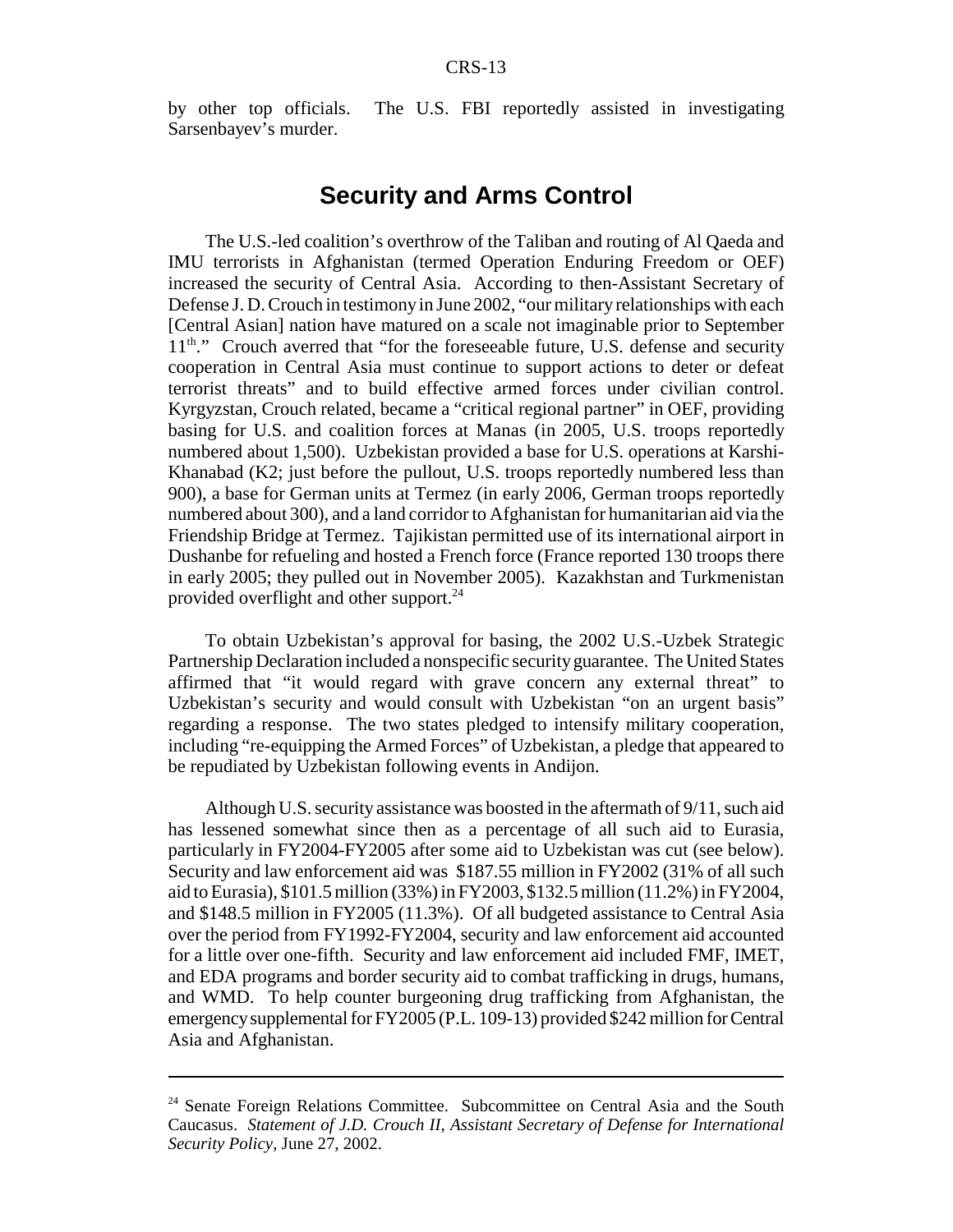by other top officials. The U.S. FBI reportedly assisted in investigating Sarsenbayev's murder.

## **Security and Arms Control**

The U.S.-led coalition's overthrow of the Taliban and routing of Al Qaeda and IMU terrorists in Afghanistan (termed Operation Enduring Freedom or OEF) increased the security of Central Asia. According to then-Assistant Secretary of Defense J. D. Crouch in testimony in June 2002, "our military relationships with each [Central Asian] nation have matured on a scale not imaginable prior to September  $11<sup>th</sup>$ ." Crouch averred that "for the foreseeable future, U.S. defense and security cooperation in Central Asia must continue to support actions to deter or defeat terrorist threats" and to build effective armed forces under civilian control. Kyrgyzstan, Crouch related, became a "critical regional partner" in OEF, providing basing for U.S. and coalition forces at Manas (in 2005, U.S. troops reportedly numbered about 1,500). Uzbekistan provided a base for U.S. operations at Karshi-Khanabad (K2; just before the pullout, U.S. troops reportedly numbered less than 900), a base for German units at Termez (in early 2006, German troops reportedly numbered about 300), and a land corridor to Afghanistan for humanitarian aid via the Friendship Bridge at Termez. Tajikistan permitted use of its international airport in Dushanbe for refueling and hosted a French force (France reported 130 troops there in early 2005; they pulled out in November 2005). Kazakhstan and Turkmenistan provided overflight and other support.<sup>24</sup>

To obtain Uzbekistan's approval for basing, the 2002 U.S.-Uzbek Strategic Partnership Declaration included a nonspecific security guarantee. The United States affirmed that "it would regard with grave concern any external threat" to Uzbekistan's security and would consult with Uzbekistan "on an urgent basis" regarding a response. The two states pledged to intensify military cooperation, including "re-equipping the Armed Forces" of Uzbekistan, a pledge that appeared to be repudiated by Uzbekistan following events in Andijon.

Although U.S. security assistance was boosted in the aftermath of 9/11, such aid has lessened somewhat since then as a percentage of all such aid to Eurasia, particularly in FY2004-FY2005 after some aid to Uzbekistan was cut (see below). Security and law enforcement aid was \$187.55 million in FY2002 (31% of all such aid to Eurasia), \$101.5 million (33%) in FY2003, \$132.5 million (11.2%) in FY2004, and \$148.5 million in FY2005 (11.3%). Of all budgeted assistance to Central Asia over the period from FY1992-FY2004, security and law enforcement aid accounted for a little over one-fifth. Security and law enforcement aid included FMF, IMET, and EDA programs and border security aid to combat trafficking in drugs, humans, and WMD. To help counter burgeoning drug trafficking from Afghanistan, the emergency supplemental for FY2005 (P.L. 109-13) provided \$242 million for Central Asia and Afghanistan.

<sup>&</sup>lt;sup>24</sup> Senate Foreign Relations Committee. Subcommittee on Central Asia and the South Caucasus. *Statement of J.D. Crouch II, Assistant Secretary of Defense for International Security Policy*, June 27, 2002.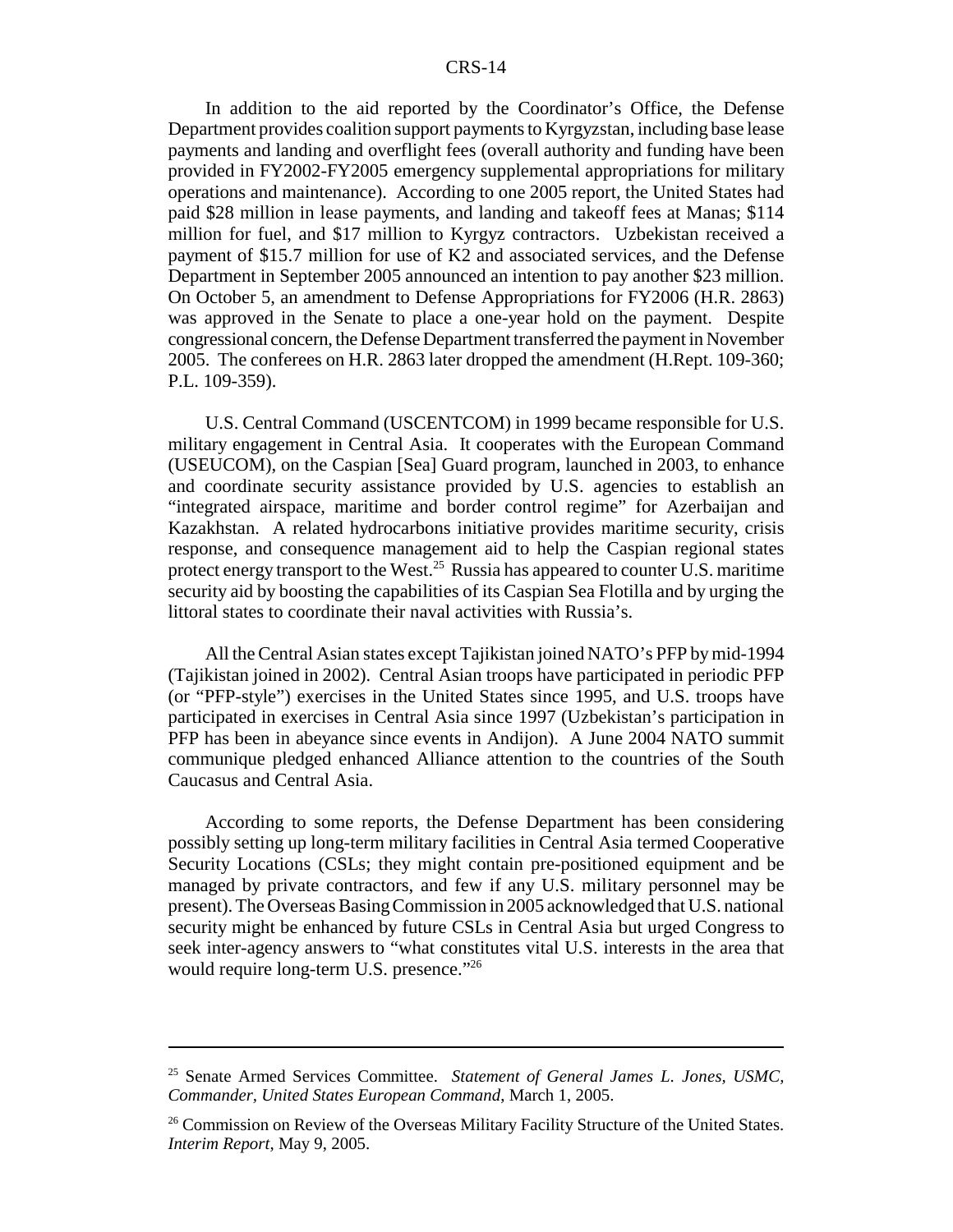In addition to the aid reported by the Coordinator's Office, the Defense Department provides coalition support payments to Kyrgyzstan, including base lease payments and landing and overflight fees (overall authority and funding have been provided in FY2002-FY2005 emergency supplemental appropriations for military operations and maintenance). According to one 2005 report, the United States had paid \$28 million in lease payments, and landing and takeoff fees at Manas; \$114 million for fuel, and \$17 million to Kyrgyz contractors. Uzbekistan received a payment of \$15.7 million for use of K2 and associated services, and the Defense Department in September 2005 announced an intention to pay another \$23 million. On October 5, an amendment to Defense Appropriations for FY2006 (H.R. 2863) was approved in the Senate to place a one-year hold on the payment. Despite congressional concern, the Defense Department transferred the payment in November 2005. The conferees on H.R. 2863 later dropped the amendment (H.Rept. 109-360; P.L. 109-359).

U.S. Central Command (USCENTCOM) in 1999 became responsible for U.S. military engagement in Central Asia. It cooperates with the European Command (USEUCOM), on the Caspian [Sea] Guard program, launched in 2003, to enhance and coordinate security assistance provided by U.S. agencies to establish an "integrated airspace, maritime and border control regime" for Azerbaijan and Kazakhstan. A related hydrocarbons initiative provides maritime security, crisis response, and consequence management aid to help the Caspian regional states protect energy transport to the West.<sup>25</sup> Russia has appeared to counter U.S. maritime security aid by boosting the capabilities of its Caspian Sea Flotilla and by urging the littoral states to coordinate their naval activities with Russia's.

All the Central Asian states except Tajikistan joined NATO's PFP by mid-1994 (Tajikistan joined in 2002). Central Asian troops have participated in periodic PFP (or "PFP-style") exercises in the United States since 1995, and U.S. troops have participated in exercises in Central Asia since 1997 (Uzbekistan's participation in PFP has been in abeyance since events in Andijon). A June 2004 NATO summit communique pledged enhanced Alliance attention to the countries of the South Caucasus and Central Asia.

According to some reports, the Defense Department has been considering possibly setting up long-term military facilities in Central Asia termed Cooperative Security Locations (CSLs; they might contain pre-positioned equipment and be managed by private contractors, and few if any U.S. military personnel may be present). The Overseas Basing Commission in 2005 acknowledged that U.S. national security might be enhanced by future CSLs in Central Asia but urged Congress to seek inter-agency answers to "what constitutes vital U.S. interests in the area that would require long-term U.S. presence."<sup>26</sup>

<sup>25</sup> Senate Armed Services Committee. *Statement of General James L. Jones, USMC, Commander, United States European Command*, March 1, 2005.

<sup>&</sup>lt;sup>26</sup> Commission on Review of the Overseas Military Facility Structure of the United States. *Interim Report*, May 9, 2005.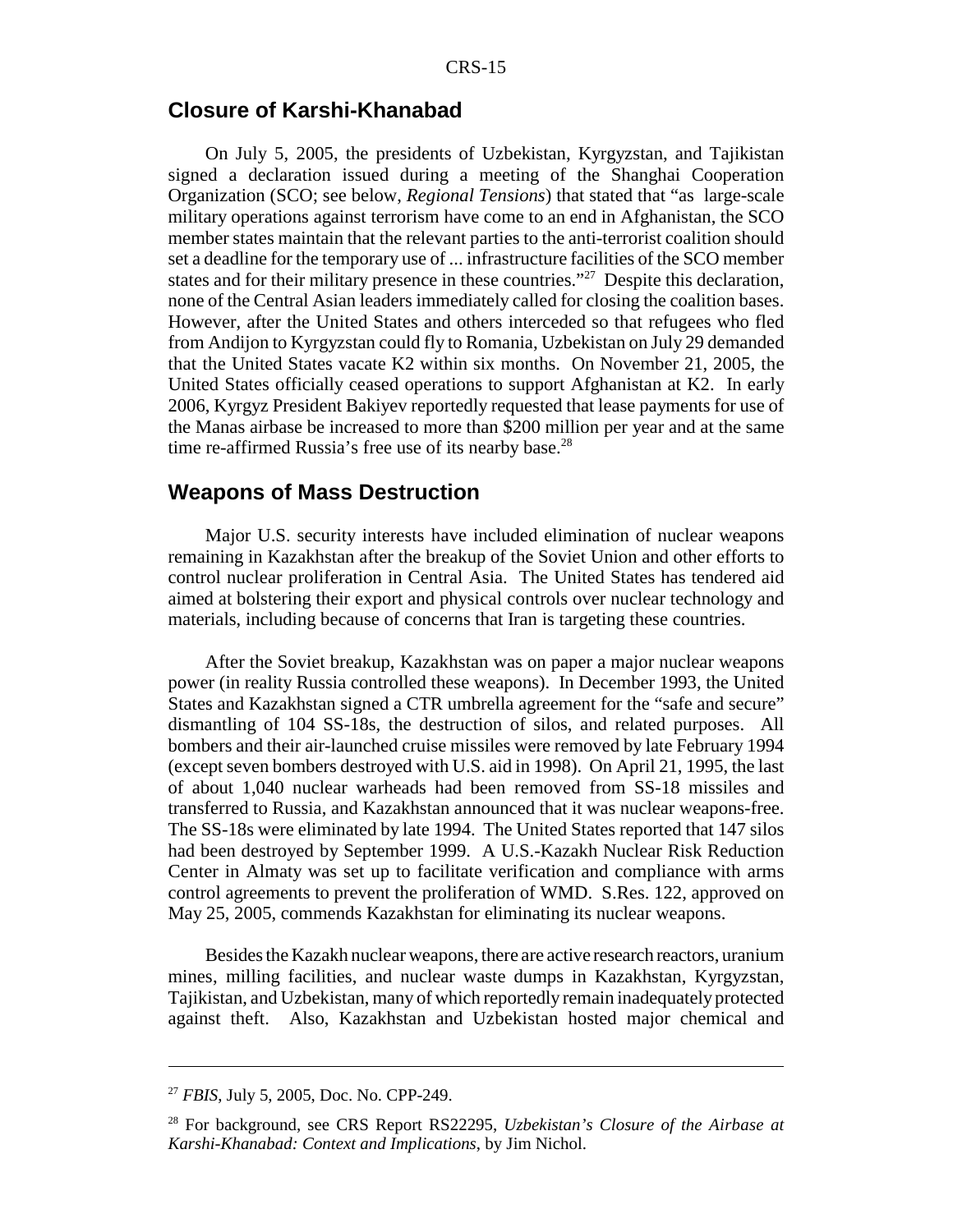### **Closure of Karshi-Khanabad**

On July 5, 2005, the presidents of Uzbekistan, Kyrgyzstan, and Tajikistan signed a declaration issued during a meeting of the Shanghai Cooperation Organization (SCO; see below, *Regional Tensions*) that stated that "as large-scale military operations against terrorism have come to an end in Afghanistan, the SCO member states maintain that the relevant parties to the anti-terrorist coalition should set a deadline for the temporary use of ... infrastructure facilities of the SCO member states and for their military presence in these countries."<sup>27</sup> Despite this declaration, none of the Central Asian leaders immediately called for closing the coalition bases. However, after the United States and others interceded so that refugees who fled from Andijon to Kyrgyzstan could fly to Romania, Uzbekistan on July 29 demanded that the United States vacate K2 within six months. On November 21, 2005, the United States officially ceased operations to support Afghanistan at K2. In early 2006, Kyrgyz President Bakiyev reportedly requested that lease payments for use of the Manas airbase be increased to more than \$200 million per year and at the same time re-affirmed Russia's free use of its nearby base.<sup>28</sup>

#### **Weapons of Mass Destruction**

Major U.S. security interests have included elimination of nuclear weapons remaining in Kazakhstan after the breakup of the Soviet Union and other efforts to control nuclear proliferation in Central Asia. The United States has tendered aid aimed at bolstering their export and physical controls over nuclear technology and materials, including because of concerns that Iran is targeting these countries.

After the Soviet breakup, Kazakhstan was on paper a major nuclear weapons power (in reality Russia controlled these weapons). In December 1993, the United States and Kazakhstan signed a CTR umbrella agreement for the "safe and secure" dismantling of 104 SS-18s, the destruction of silos, and related purposes. All bombers and their air-launched cruise missiles were removed by late February 1994 (except seven bombers destroyed with U.S. aid in 1998). On April 21, 1995, the last of about 1,040 nuclear warheads had been removed from SS-18 missiles and transferred to Russia, and Kazakhstan announced that it was nuclear weapons-free. The SS-18s were eliminated by late 1994. The United States reported that 147 silos had been destroyed by September 1999. A U.S.-Kazakh Nuclear Risk Reduction Center in Almaty was set up to facilitate verification and compliance with arms control agreements to prevent the proliferation of WMD. S.Res. 122, approved on May 25, 2005, commends Kazakhstan for eliminating its nuclear weapons.

Besides the Kazakh nuclear weapons, there are active research reactors, uranium mines, milling facilities, and nuclear waste dumps in Kazakhstan, Kyrgyzstan, Tajikistan, and Uzbekistan, many of which reportedly remain inadequately protected against theft. Also, Kazakhstan and Uzbekistan hosted major chemical and

<sup>27</sup> *FBIS*, July 5, 2005, Doc. No. CPP-249.

<sup>28</sup> For background, see CRS Report RS22295, *Uzbekistan's Closure of the Airbase at Karshi-Khanabad: Context and Implications*, by Jim Nichol.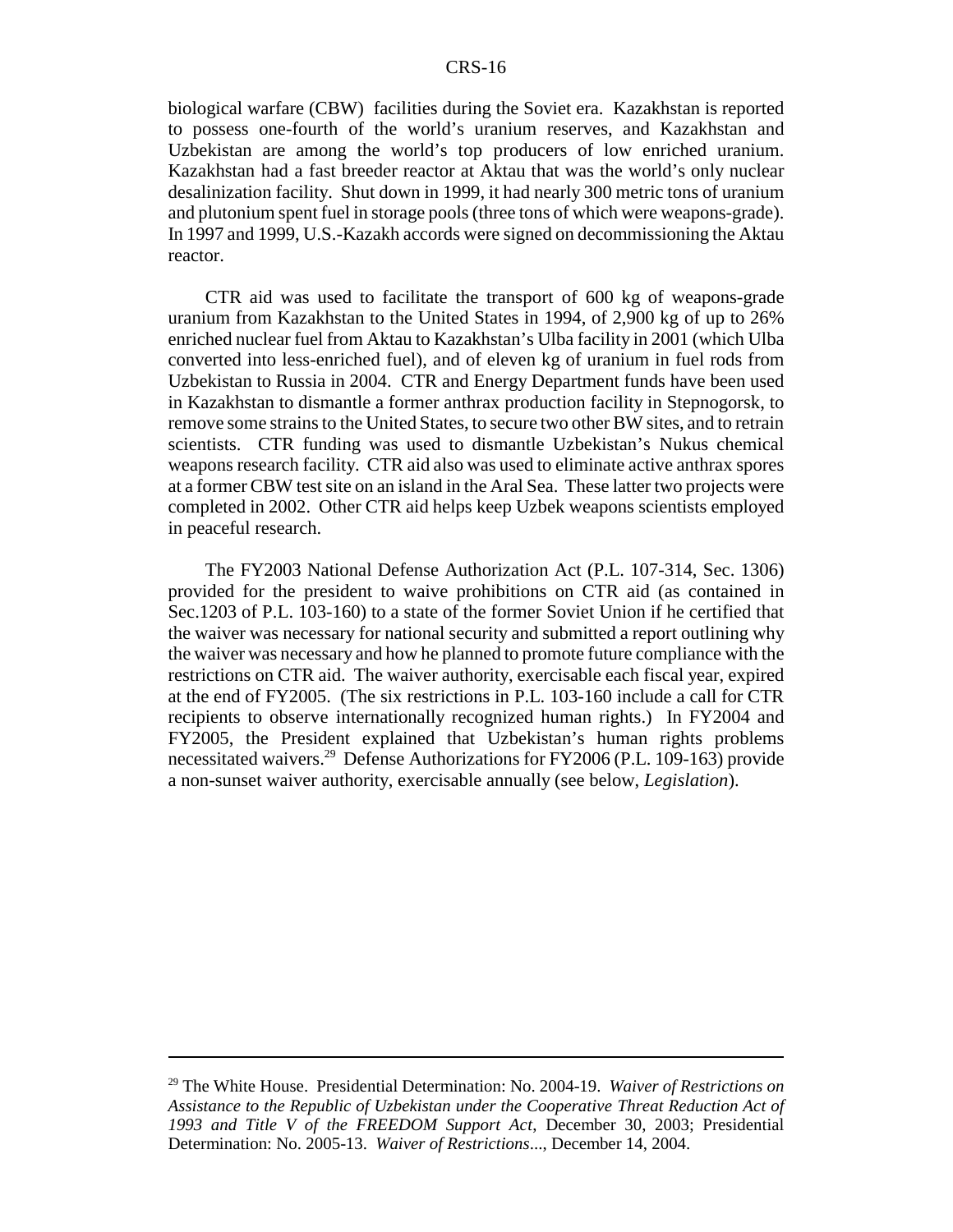biological warfare (CBW) facilities during the Soviet era. Kazakhstan is reported to possess one-fourth of the world's uranium reserves, and Kazakhstan and Uzbekistan are among the world's top producers of low enriched uranium. Kazakhstan had a fast breeder reactor at Aktau that was the world's only nuclear desalinization facility. Shut down in 1999, it had nearly 300 metric tons of uranium and plutonium spent fuel in storage pools (three tons of which were weapons-grade). In 1997 and 1999, U.S.-Kazakh accords were signed on decommissioning the Aktau reactor.

CTR aid was used to facilitate the transport of 600 kg of weapons-grade uranium from Kazakhstan to the United States in 1994, of 2,900 kg of up to 26% enriched nuclear fuel from Aktau to Kazakhstan's Ulba facility in 2001 (which Ulba converted into less-enriched fuel), and of eleven kg of uranium in fuel rods from Uzbekistan to Russia in 2004. CTR and Energy Department funds have been used in Kazakhstan to dismantle a former anthrax production facility in Stepnogorsk, to remove some strains to the United States, to secure two other BW sites, and to retrain scientists. CTR funding was used to dismantle Uzbekistan's Nukus chemical weapons research facility. CTR aid also was used to eliminate active anthrax spores at a former CBW test site on an island in the Aral Sea. These latter two projects were completed in 2002. Other CTR aid helps keep Uzbek weapons scientists employed in peaceful research.

The FY2003 National Defense Authorization Act (P.L. 107-314, Sec. 1306) provided for the president to waive prohibitions on CTR aid (as contained in Sec.1203 of P.L. 103-160) to a state of the former Soviet Union if he certified that the waiver was necessary for national security and submitted a report outlining why the waiver was necessary and how he planned to promote future compliance with the restrictions on CTR aid. The waiver authority, exercisable each fiscal year, expired at the end of FY2005. (The six restrictions in P.L. 103-160 include a call for CTR recipients to observe internationally recognized human rights.) In FY2004 and FY2005, the President explained that Uzbekistan's human rights problems necessitated waivers.29 Defense Authorizations for FY2006 (P.L. 109-163) provide a non-sunset waiver authority, exercisable annually (see below, *Legislation*).

<sup>29</sup> The White House. Presidential Determination: No. 2004-19. *Waiver of Restrictions on Assistance to the Republic of Uzbekistan under the Cooperative Threat Reduction Act of 1993 and Title V of the FREEDOM Support Act*, December 30, 2003; Presidential Determination: No. 2005-13. *Waiver of Restrictions*..., December 14, 2004.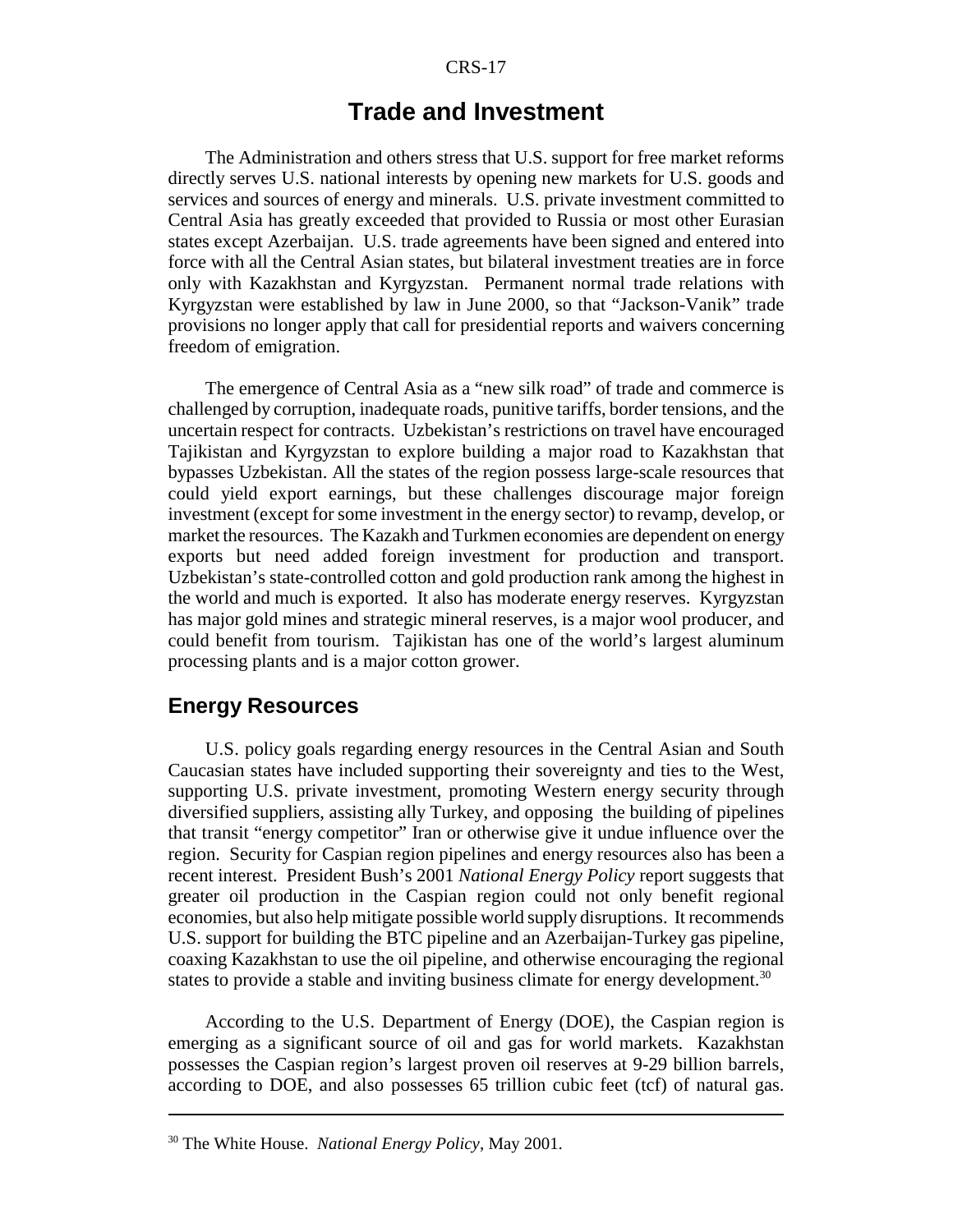## **Trade and Investment**

The Administration and others stress that U.S. support for free market reforms directly serves U.S. national interests by opening new markets for U.S. goods and services and sources of energy and minerals. U.S. private investment committed to Central Asia has greatly exceeded that provided to Russia or most other Eurasian states except Azerbaijan. U.S. trade agreements have been signed and entered into force with all the Central Asian states, but bilateral investment treaties are in force only with Kazakhstan and Kyrgyzstan. Permanent normal trade relations with Kyrgyzstan were established by law in June 2000, so that "Jackson-Vanik" trade provisions no longer apply that call for presidential reports and waivers concerning freedom of emigration.

The emergence of Central Asia as a "new silk road" of trade and commerce is challenged by corruption, inadequate roads, punitive tariffs, border tensions, and the uncertain respect for contracts. Uzbekistan's restrictions on travel have encouraged Tajikistan and Kyrgyzstan to explore building a major road to Kazakhstan that bypasses Uzbekistan. All the states of the region possess large-scale resources that could yield export earnings, but these challenges discourage major foreign investment (except for some investment in the energy sector) to revamp, develop, or market the resources. The Kazakh and Turkmen economies are dependent on energy exports but need added foreign investment for production and transport. Uzbekistan's state-controlled cotton and gold production rank among the highest in the world and much is exported. It also has moderate energy reserves. Kyrgyzstan has major gold mines and strategic mineral reserves, is a major wool producer, and could benefit from tourism. Tajikistan has one of the world's largest aluminum processing plants and is a major cotton grower.

### **Energy Resources**

U.S. policy goals regarding energy resources in the Central Asian and South Caucasian states have included supporting their sovereignty and ties to the West, supporting U.S. private investment, promoting Western energy security through diversified suppliers, assisting ally Turkey, and opposing the building of pipelines that transit "energy competitor" Iran or otherwise give it undue influence over the region. Security for Caspian region pipelines and energy resources also has been a recent interest. President Bush's 2001 *National Energy Policy* report suggests that greater oil production in the Caspian region could not only benefit regional economies, but also help mitigate possible world supply disruptions. It recommends U.S. support for building the BTC pipeline and an Azerbaijan-Turkey gas pipeline, coaxing Kazakhstan to use the oil pipeline, and otherwise encouraging the regional states to provide a stable and inviting business climate for energy development.<sup>30</sup>

According to the U.S. Department of Energy (DOE), the Caspian region is emerging as a significant source of oil and gas for world markets. Kazakhstan possesses the Caspian region's largest proven oil reserves at 9-29 billion barrels, according to DOE, and also possesses 65 trillion cubic feet (tcf) of natural gas.

<sup>30</sup> The White House. *National Energy Policy*, May 2001.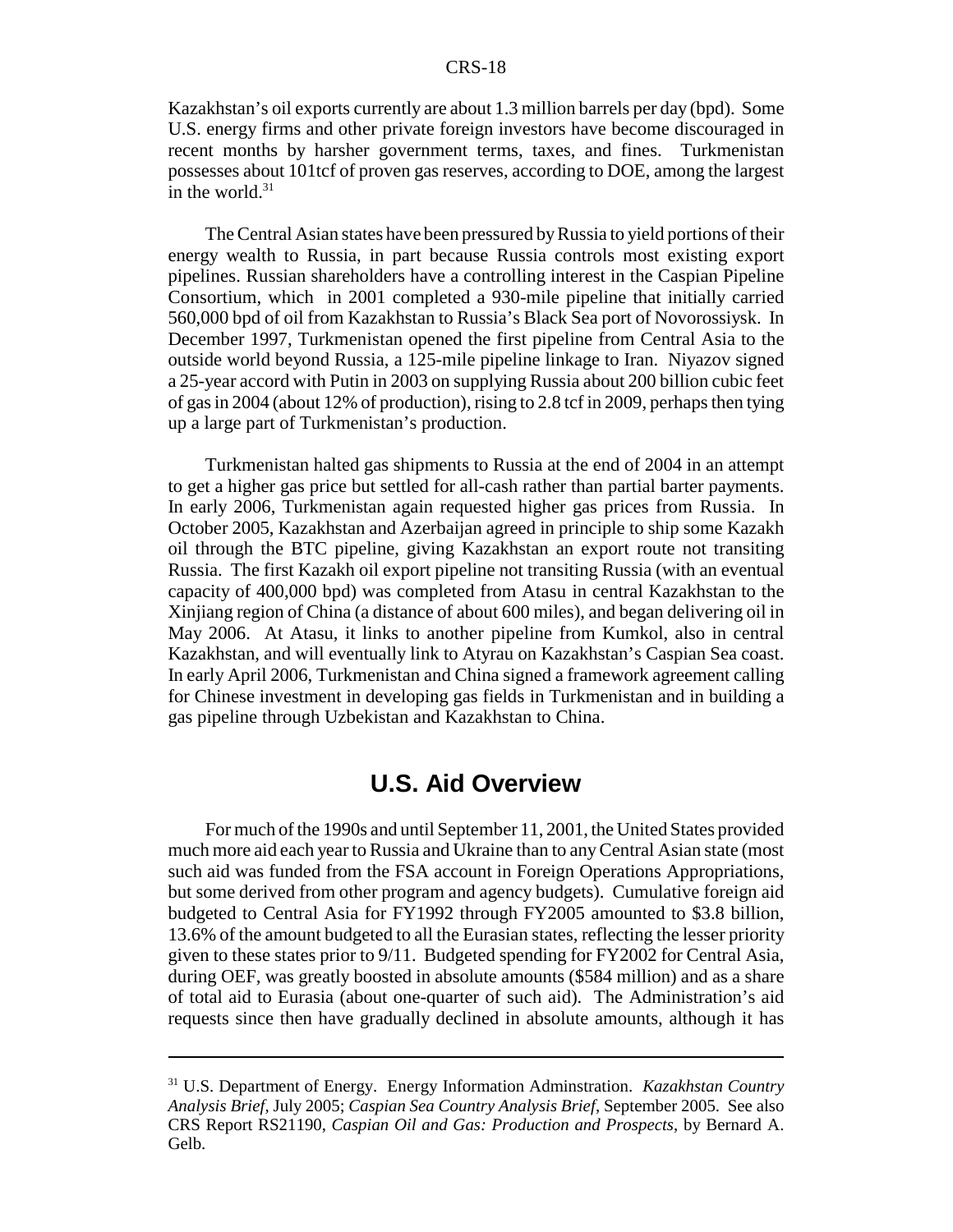Kazakhstan's oil exports currently are about 1.3 million barrels per day (bpd). Some U.S. energy firms and other private foreign investors have become discouraged in recent months by harsher government terms, taxes, and fines. Turkmenistan possesses about 101tcf of proven gas reserves, according to DOE, among the largest in the world. $31$ 

The Central Asian states have been pressured by Russia to yield portions of their energy wealth to Russia, in part because Russia controls most existing export pipelines. Russian shareholders have a controlling interest in the Caspian Pipeline Consortium, which in 2001 completed a 930-mile pipeline that initially carried 560,000 bpd of oil from Kazakhstan to Russia's Black Sea port of Novorossiysk. In December 1997, Turkmenistan opened the first pipeline from Central Asia to the outside world beyond Russia, a 125-mile pipeline linkage to Iran. Niyazov signed a 25-year accord with Putin in 2003 on supplying Russia about 200 billion cubic feet of gas in 2004 (about 12% of production), rising to 2.8 tcf in 2009, perhaps then tying up a large part of Turkmenistan's production.

Turkmenistan halted gas shipments to Russia at the end of 2004 in an attempt to get a higher gas price but settled for all-cash rather than partial barter payments. In early 2006, Turkmenistan again requested higher gas prices from Russia. In October 2005, Kazakhstan and Azerbaijan agreed in principle to ship some Kazakh oil through the BTC pipeline, giving Kazakhstan an export route not transiting Russia. The first Kazakh oil export pipeline not transiting Russia (with an eventual capacity of 400,000 bpd) was completed from Atasu in central Kazakhstan to the Xinjiang region of China (a distance of about 600 miles), and began delivering oil in May 2006. At Atasu, it links to another pipeline from Kumkol, also in central Kazakhstan, and will eventually link to Atyrau on Kazakhstan's Caspian Sea coast. In early April 2006, Turkmenistan and China signed a framework agreement calling for Chinese investment in developing gas fields in Turkmenistan and in building a gas pipeline through Uzbekistan and Kazakhstan to China.

## **U.S. Aid Overview**

For much of the 1990s and until September 11, 2001, the United States provided much more aid each year to Russia and Ukraine than to any Central Asian state (most such aid was funded from the FSA account in Foreign Operations Appropriations, but some derived from other program and agency budgets). Cumulative foreign aid budgeted to Central Asia for FY1992 through FY2005 amounted to \$3.8 billion, 13.6% of the amount budgeted to all the Eurasian states, reflecting the lesser priority given to these states prior to 9/11. Budgeted spending for FY2002 for Central Asia, during OEF, was greatly boosted in absolute amounts (\$584 million) and as a share of total aid to Eurasia (about one-quarter of such aid). The Administration's aid requests since then have gradually declined in absolute amounts, although it has

<sup>31</sup> U.S. Department of Energy. Energy Information Adminstration. *Kazakhstan Country Analysis Brief,* July 2005; *Caspian Sea Country Analysis Brief*, September 2005. See also CRS Report RS21190, *Caspian Oil and Gas: Production and Prospects*, by Bernard A. Gelb.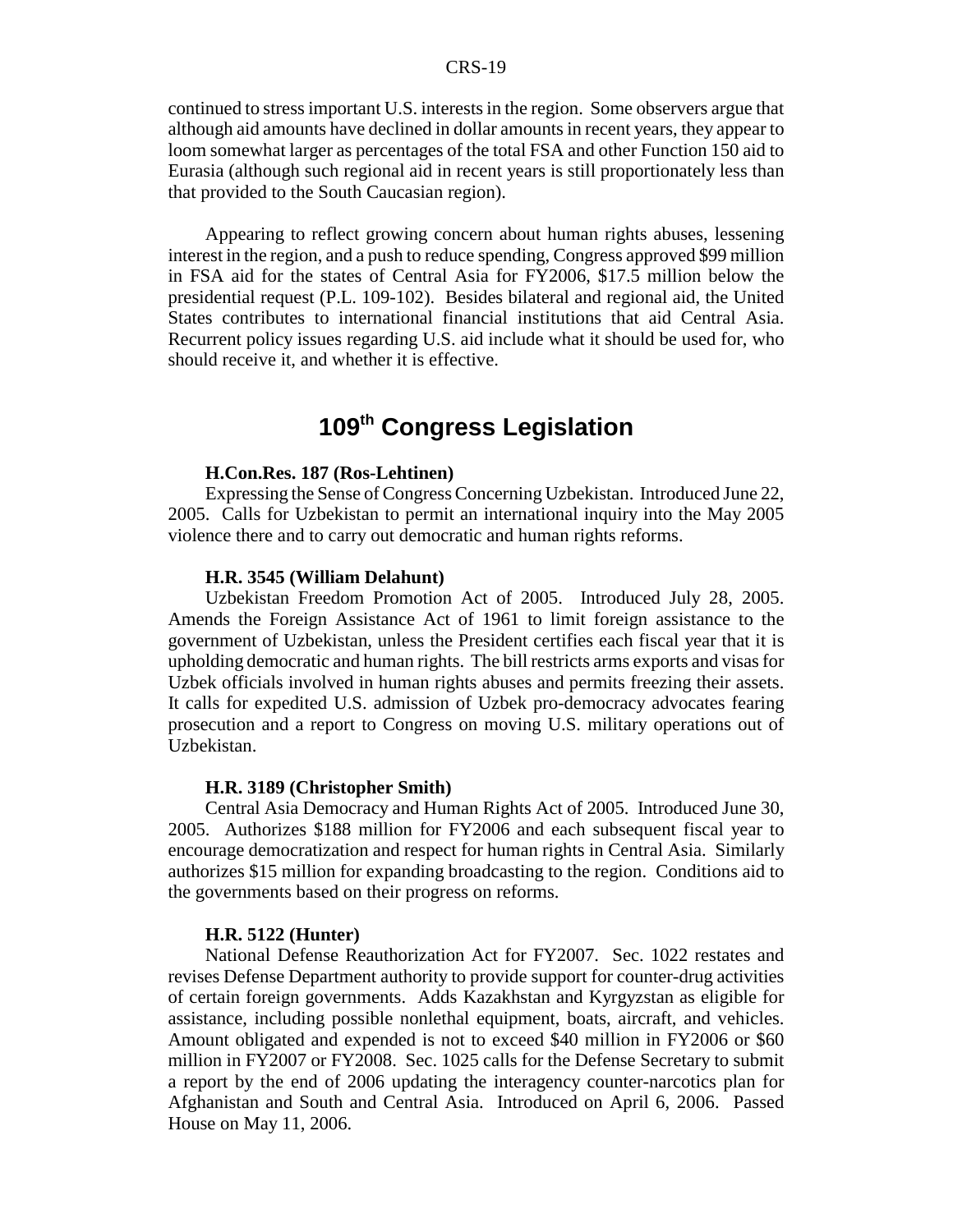continued to stress important U.S. interests in the region. Some observers argue that although aid amounts have declined in dollar amounts in recent years, they appear to loom somewhat larger as percentages of the total FSA and other Function 150 aid to Eurasia (although such regional aid in recent years is still proportionately less than that provided to the South Caucasian region).

Appearing to reflect growing concern about human rights abuses, lessening interest in the region, and a push to reduce spending, Congress approved \$99 million in FSA aid for the states of Central Asia for FY2006, \$17.5 million below the presidential request (P.L. 109-102). Besides bilateral and regional aid, the United States contributes to international financial institutions that aid Central Asia. Recurrent policy issues regarding U.S. aid include what it should be used for, who should receive it, and whether it is effective.

## **109th Congress Legislation**

#### **H.Con.Res. 187 (Ros-Lehtinen)**

Expressing the Sense of Congress Concerning Uzbekistan. Introduced June 22, 2005. Calls for Uzbekistan to permit an international inquiry into the May 2005 violence there and to carry out democratic and human rights reforms.

#### **H.R. 3545 (William Delahunt)**

Uzbekistan Freedom Promotion Act of 2005. Introduced July 28, 2005. Amends the Foreign Assistance Act of 1961 to limit foreign assistance to the government of Uzbekistan, unless the President certifies each fiscal year that it is upholding democratic and human rights. The bill restricts arms exports and visas for Uzbek officials involved in human rights abuses and permits freezing their assets. It calls for expedited U.S. admission of Uzbek pro-democracy advocates fearing prosecution and a report to Congress on moving U.S. military operations out of Uzbekistan.

#### **H.R. 3189 (Christopher Smith)**

Central Asia Democracy and Human Rights Act of 2005. Introduced June 30, 2005. Authorizes \$188 million for FY2006 and each subsequent fiscal year to encourage democratization and respect for human rights in Central Asia. Similarly authorizes \$15 million for expanding broadcasting to the region. Conditions aid to the governments based on their progress on reforms.

#### **H.R. 5122 (Hunter)**

National Defense Reauthorization Act for FY2007. Sec. 1022 restates and revises Defense Department authority to provide support for counter-drug activities of certain foreign governments. Adds Kazakhstan and Kyrgyzstan as eligible for assistance, including possible nonlethal equipment, boats, aircraft, and vehicles. Amount obligated and expended is not to exceed \$40 million in FY2006 or \$60 million in FY2007 or FY2008. Sec. 1025 calls for the Defense Secretary to submit a report by the end of 2006 updating the interagency counter-narcotics plan for Afghanistan and South and Central Asia. Introduced on April 6, 2006. Passed House on May 11, 2006.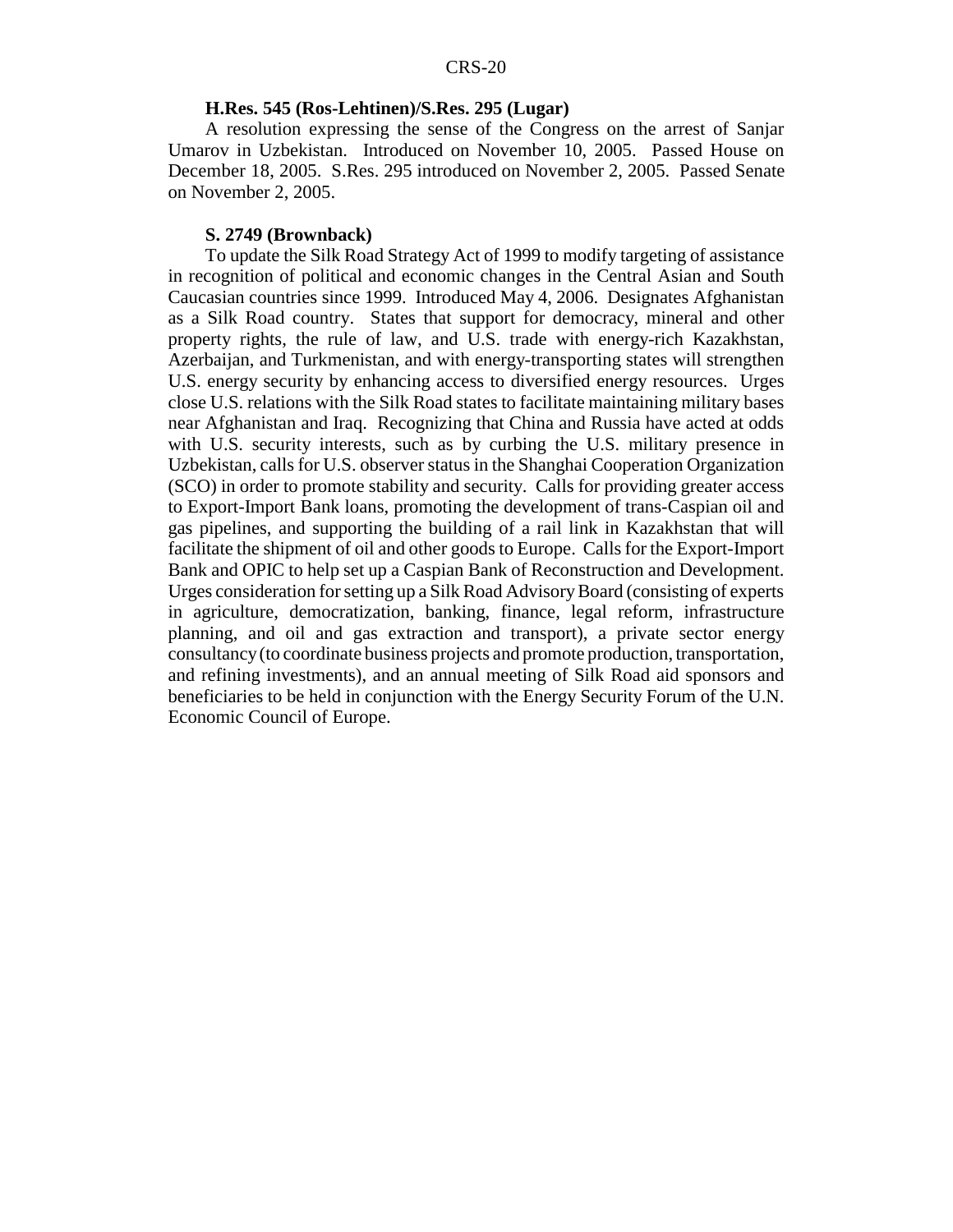#### **H.Res. 545 (Ros-Lehtinen)/S.Res. 295 (Lugar)**

A resolution expressing the sense of the Congress on the arrest of Sanjar Umarov in Uzbekistan. Introduced on November 10, 2005. Passed House on December 18, 2005. S.Res. 295 introduced on November 2, 2005. Passed Senate on November 2, 2005.

#### **S. 2749 (Brownback)**

To update the Silk Road Strategy Act of 1999 to modify targeting of assistance in recognition of political and economic changes in the Central Asian and South Caucasian countries since 1999. Introduced May 4, 2006. Designates Afghanistan as a Silk Road country. States that support for democracy, mineral and other property rights, the rule of law, and U.S. trade with energy-rich Kazakhstan, Azerbaijan, and Turkmenistan, and with energy-transporting states will strengthen U.S. energy security by enhancing access to diversified energy resources. Urges close U.S. relations with the Silk Road states to facilitate maintaining military bases near Afghanistan and Iraq. Recognizing that China and Russia have acted at odds with U.S. security interests, such as by curbing the U.S. military presence in Uzbekistan, calls for U.S. observer status in the Shanghai Cooperation Organization (SCO) in order to promote stability and security. Calls for providing greater access to Export-Import Bank loans, promoting the development of trans-Caspian oil and gas pipelines, and supporting the building of a rail link in Kazakhstan that will facilitate the shipment of oil and other goods to Europe. Calls for the Export-Import Bank and OPIC to help set up a Caspian Bank of Reconstruction and Development. Urges consideration for setting up a Silk Road Advisory Board (consisting of experts in agriculture, democratization, banking, finance, legal reform, infrastructure planning, and oil and gas extraction and transport), a private sector energy consultancy (to coordinate business projects and promote production, transportation, and refining investments), and an annual meeting of Silk Road aid sponsors and beneficiaries to be held in conjunction with the Energy Security Forum of the U.N. Economic Council of Europe.